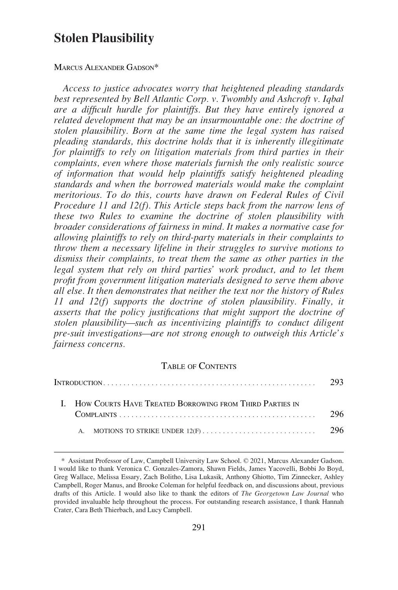# **Stolen Plausibility**

### MARCUS ALEXANDER GADSON\*

*Access to justice advocates worry that heightened pleading standards best represented by Bell Atlantic Corp. v. Twombly and Ashcroft v. Iqbal are a difficult hurdle for plaintiffs. But they have entirely ignored a related development that may be an insurmountable one: the doctrine of stolen plausibility. Born at the same time the legal system has raised pleading standards, this doctrine holds that it is inherently illegitimate for plaintiffs to rely on litigation materials from third parties in their complaints, even where those materials furnish the only realistic source of information that would help plaintiffs satisfy heightened pleading standards and when the borrowed materials would make the complaint meritorious. To do this, courts have drawn on Federal Rules of Civil Procedure 11 and 12(f). This Article steps back from the narrow lens of these two Rules to examine the doctrine of stolen plausibility with broader considerations of fairness in mind. It makes a normative case for allowing plaintiffs to rely on third-party materials in their complaints to throw them a necessary lifeline in their struggles to survive motions to dismiss their complaints, to treat them the same as other parties in the legal system that rely on third parties' work product, and to let them profit from government litigation materials designed to serve them above all else. It then demonstrates that neither the text nor the history of Rules 11 and 12(f) supports the doctrine of stolen plausibility. Finally, it asserts that the policy justifications that might support the doctrine of stolen plausibility—such as incentivizing plaintiffs to conduct diligent pre-suit investigations—are not strong enough to outweigh this Article's fairness concerns.* 

## TABLE OF CONTENTS

| $In The$ Dual $\sim$ 293 |  |                                                            |      |  |
|--------------------------|--|------------------------------------------------------------|------|--|
|                          |  | I. How Courts Have Treated Borrowing from Third Parties in |      |  |
|                          |  |                                                            | -296 |  |
|                          |  |                                                            |      |  |

<sup>\*</sup> Assistant Professor of Law, Campbell University Law School. © 2021, Marcus Alexander Gadson. I would like to thank Veronica C. Gonzales-Zamora, Shawn Fields, James Yacovelli, Bobbi Jo Boyd, Greg Wallace, Melissa Essary, Zach Bolitho, Lisa Lukasik, Anthony Ghiotto, Tim Zinnecker, Ashley Campbell, Roger Manus, and Brooke Coleman for helpful feedback on, and discussions about, previous drafts of this Article. I would also like to thank the editors of *The Georgetown Law Journal* who provided invaluable help throughout the process. For outstanding research assistance, I thank Hannah Crater, Cara Beth Thierbach, and Lucy Campbell.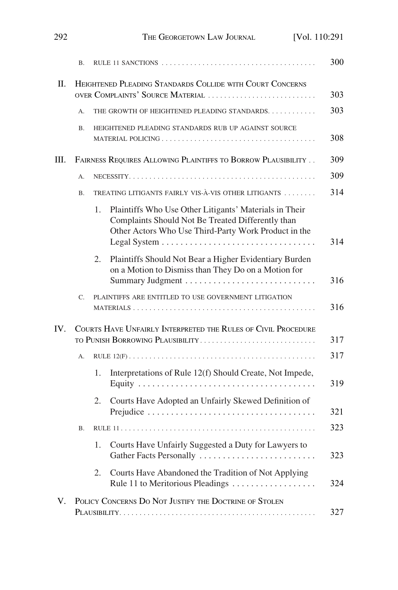|     | <b>B.</b> |                                                                                                                                                                           | 300 |
|-----|-----------|---------------------------------------------------------------------------------------------------------------------------------------------------------------------------|-----|
| II. |           | HEIGHTENED PLEADING STANDARDS COLLIDE WITH COURT CONCERNS<br>OVER COMPLAINTS' SOURCE MATERIAL                                                                             | 303 |
|     | A.        | THE GROWTH OF HEIGHTENED PLEADING STANDARDS                                                                                                                               | 303 |
|     | <b>B.</b> | HEIGHTENED PLEADING STANDARDS RUB UP AGAINST SOURCE                                                                                                                       | 308 |
| Ш.  |           | FAIRNESS REQUIRES ALLOWING PLAINTIFFS TO BORROW PLAUSIBILITY                                                                                                              | 309 |
|     | А.        |                                                                                                                                                                           |     |
|     | <b>B.</b> | TREATING LITIGANTS FAIRLY VIS-À-VIS OTHER LITIGANTS                                                                                                                       |     |
|     |           | 1.<br>Plaintiffs Who Use Other Litigants' Materials in Their<br>Complaints Should Not Be Treated Differently than<br>Other Actors Who Use Third-Party Work Product in the | 314 |
|     |           | Plaintiffs Should Not Bear a Higher Evidentiary Burden<br>2.<br>on a Motion to Dismiss than They Do on a Motion for                                                       |     |
|     | C.        | PLAINTIFFS ARE ENTITLED TO USE GOVERNMENT LITIGATION                                                                                                                      |     |
| IV. |           | COURTS HAVE UNFAIRLY INTERPRETED THE RULES OF CIVIL PROCEDURE<br>TO PUNISH BORROWING PLAUSIBILITY                                                                         |     |
|     | А.        |                                                                                                                                                                           |     |
|     |           | Interpretations of Rule 12(f) Should Create, Not Impede,<br>1.                                                                                                            |     |
|     |           | Courts Have Adopted an Unfairly Skewed Definition of<br>2.                                                                                                                |     |
|     | В.        |                                                                                                                                                                           |     |
|     |           | Courts Have Unfairly Suggested a Duty for Lawyers to<br>1.<br>Gather Facts Personally                                                                                     |     |
|     |           | Courts Have Abandoned the Tradition of Not Applying<br>2.<br>Rule 11 to Meritorious Pleadings                                                                             |     |
| V.  |           | POLICY CONCERNS DO NOT JUSTIFY THE DOCTRINE OF STOLEN                                                                                                                     | 327 |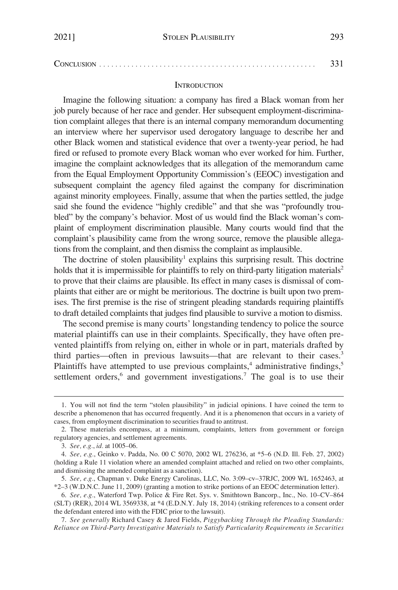<span id="page-2-0"></span>CONCLUSION [. . . . . . . . . . . . . . . . . . . . . . . . . . . . . . . . . . . . . . . . . . . . . . . . . . . . . .](#page-40-0) 331

### **INTRODUCTION**

Imagine the following situation: a company has fired a Black woman from her job purely because of her race and gender. Her subsequent employment-discrimination complaint alleges that there is an internal company memorandum documenting an interview where her supervisor used derogatory language to describe her and other Black women and statistical evidence that over a twenty-year period, he had fired or refused to promote every Black woman who ever worked for him. Further, imagine the complaint acknowledges that its allegation of the memorandum came from the Equal Employment Opportunity Commission's (EEOC) investigation and subsequent complaint the agency filed against the company for discrimination against minority employees. Finally, assume that when the parties settled, the judge said she found the evidence "highly credible" and that she was "profoundly troubled" by the company's behavior. Most of us would find the Black woman's complaint of employment discrimination plausible. Many courts would find that the complaint's plausibility came from the wrong source, remove the plausible allegations from the complaint, and then dismiss the complaint as implausible.

The doctrine of stolen plausibility<sup>1</sup> explains this surprising result. This doctrine holds that it is impermissible for plaintiffs to rely on third-party litigation materials<sup>2</sup> to prove that their claims are plausible. Its effect in many cases is dismissal of complaints that either are or might be meritorious. The doctrine is built upon two premises. The first premise is the rise of stringent pleading standards requiring plaintiffs to draft detailed complaints that judges find plausible to survive a motion to dismiss.

The second premise is many courts' longstanding tendency to police the source material plaintiffs can use in their complaints. Specifically, they have often prevented plaintiffs from relying on, either in whole or in part, materials drafted by third parties—often in previous lawsuits—that are relevant to their cases.3 Plaintiffs have attempted to use previous complaints,<sup>4</sup> administrative findings,<sup>5</sup> settlement orders, $6$  and government investigations.<sup>7</sup> The goal is to use their

<sup>1.</sup> You will not find the term "stolen plausibility" in judicial opinions. I have coined the term to describe a phenomenon that has occurred frequently. And it is a phenomenon that occurs in a variety of cases, from employment discrimination to securities fraud to antitrust.

<sup>2.</sup> These materials encompass, at a minimum, complaints, letters from government or foreign regulatory agencies, and settlement agreements.

<sup>3.</sup> *See, e.g.*, *id.* at 1005–06.

<sup>4.</sup> *See, e.g.*, Geinko v. Padda, No. 00 C 5070, 2002 WL 276236, at \*5–6 (N.D. Ill. Feb. 27, 2002) (holding a Rule 11 violation where an amended complaint attached and relied on two other complaints, and dismissing the amended complaint as a sanction).

<sup>5.</sup> *See, e.g.*, Chapman v. Duke Energy Carolinas, LLC, No. 3:09–cv–37RJC, 2009 WL 1652463, at \*2–3 (W.D.N.C. June 11, 2009) (granting a motion to strike portions of an EEOC determination letter).

<sup>6.</sup> *See, e.g.*, Waterford Twp. Police & Fire Ret. Sys. v. Smithtown Bancorp., Inc., No. 10–CV–864 (SLT) (RER), 2014 WL 3569338, at \*4 (E.D.N.Y. July 18, 2014) (striking references to a consent order the defendant entered into with the FDIC prior to the lawsuit).

<sup>7.</sup> *See generally* Richard Casey & Jared Fields, *Piggybacking Through the Pleading Standards: Reliance on Third-Party Investigative Materials to Satisfy Particularity Requirements in Securities*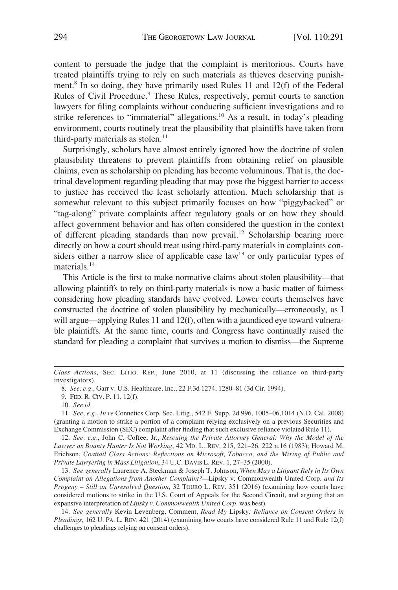content to persuade the judge that the complaint is meritorious. Courts have treated plaintiffs trying to rely on such materials as thieves deserving punishment.8 In so doing, they have primarily used Rules 11 and 12(f) of the Federal Rules of Civil Procedure.<sup>9</sup> These Rules, respectively, permit courts to sanction lawyers for filing complaints without conducting sufficient investigations and to strike references to "immaterial" allegations.<sup>10</sup> As a result, in today's pleading environment, courts routinely treat the plausibility that plaintiffs have taken from third-party materials as stolen. $11$ 

Surprisingly, scholars have almost entirely ignored how the doctrine of stolen plausibility threatens to prevent plaintiffs from obtaining relief on plausible claims, even as scholarship on pleading has become voluminous. That is, the doctrinal development regarding pleading that may pose the biggest barrier to access to justice has received the least scholarly attention. Much scholarship that is somewhat relevant to this subject primarily focuses on how "piggybacked" or "tag-along" private complaints affect regulatory goals or on how they should affect government behavior and has often considered the question in the context of different pleading standards than now prevail.<sup>12</sup> Scholarship bearing more directly on how a court should treat using third-party materials in complaints considers either a narrow slice of applicable case law<sup>13</sup> or only particular types of materials.<sup>14</sup>

This Article is the first to make normative claims about stolen plausibility—that allowing plaintiffs to rely on third-party materials is now a basic matter of fairness considering how pleading standards have evolved. Lower courts themselves have constructed the doctrine of stolen plausibility by mechanically—erroneously, as I will argue—applying Rules 11 and 12(f), often with a jaundiced eye toward vulnerable plaintiffs. At the same time, courts and Congress have continually raised the standard for pleading a complaint that survives a motion to dismiss—the Supreme

12. *See, e.g.*, John C. Coffee, Jr., *Rescuing the Private Attorney General: Why the Model of the Lawyer as Bounty Hunter Is Not Working*, 42 MD. L. REV. 215, 221–26, 222 n.16 (1983); Howard M. Erichson, *Coattail Class Actions: Reflections on Microsoft, Tobacco, and the Mixing of Public and Private Lawyering in Mass Litigation*, 34 U.C. DAVIS L. REV. 1, 27–35 (2000).

13. *See generally* Laurence A. Steckman & Joseph T. Johnson, *When May a Litigant Rely in Its Own Complaint on Allegations from Another Complaint?—*Lipsky v. Commonwealth United Corp. *and Its Progeny – Still an Unresolved Question*, 32 TOURO L. REV. 351 (2016) (examining how courts have considered motions to strike in the U.S. Court of Appeals for the Second Circuit, and arguing that an expansive interpretation of *Lipsky v. Commonwealth United Corp.* was best).

14. *See generally* Kevin Levenberg, Comment, *Read My* Lipsky*: Reliance on Consent Orders in Pleadings*, 162 U. PA. L. REV. 421 (2014) (examining how courts have considered Rule 11 and Rule 12(f) challenges to pleadings relying on consent orders).

*Class Actions*, SEC. LITIG. REP., June 2010, at 11 (discussing the reliance on third-party investigators).

<sup>8.</sup> *See, e.g.*, Garr v. U.S. Healthcare, Inc., 22 F.3d 1274, 1280–81 (3d Cir. 1994).

<sup>9.</sup> FED. R. CIV. P. 11, 12(f).

<sup>10.</sup> *See id.* 

<sup>11.</sup> *See, e.g.*, *In re* Connetics Corp. Sec. Litig., 542 F. Supp. 2d 996, 1005–06,1014 (N.D. Cal. 2008) (granting a motion to strike a portion of a complaint relying exclusively on a previous Securities and Exchange Commission (SEC) complaint after finding that such exclusive reliance violated Rule 11).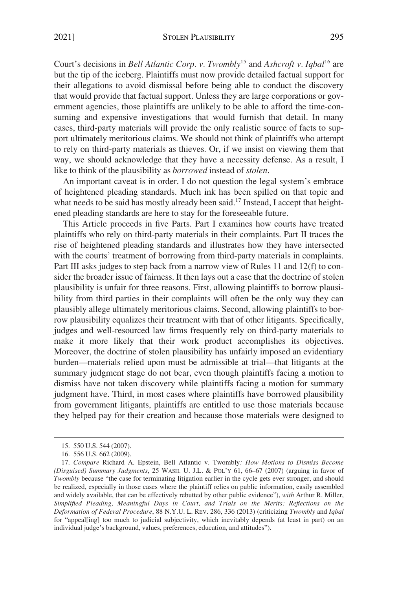Court's decisions in *Bell Atlantic Corp. v. Twombly*15 and *Ashcroft v. Iqbal*16 are but the tip of the iceberg. Plaintiffs must now provide detailed factual support for their allegations to avoid dismissal before being able to conduct the discovery that would provide that factual support. Unless they are large corporations or government agencies, those plaintiffs are unlikely to be able to afford the time-consuming and expensive investigations that would furnish that detail. In many cases, third-party materials will provide the only realistic source of facts to support ultimately meritorious claims. We should not think of plaintiffs who attempt to rely on third-party materials as thieves. Or, if we insist on viewing them that way, we should acknowledge that they have a necessity defense. As a result, I like to think of the plausibility as *borrowed* instead of *stolen*.

An important caveat is in order. I do not question the legal system's embrace of heightened pleading standards. Much ink has been spilled on that topic and what needs to be said has mostly already been said.<sup>17</sup> Instead, I accept that heightened pleading standards are here to stay for the foreseeable future.

This Article proceeds in five Parts. Part I examines how courts have treated plaintiffs who rely on third-party materials in their complaints. Part II traces the rise of heightened pleading standards and illustrates how they have intersected with the courts' treatment of borrowing from third-party materials in complaints. Part III asks judges to step back from a narrow view of Rules 11 and 12(f) to consider the broader issue of fairness. It then lays out a case that the doctrine of stolen plausibility is unfair for three reasons. First, allowing plaintiffs to borrow plausibility from third parties in their complaints will often be the only way they can plausibly allege ultimately meritorious claims. Second, allowing plaintiffs to borrow plausibility equalizes their treatment with that of other litigants. Specifically, judges and well-resourced law firms frequently rely on third-party materials to make it more likely that their work product accomplishes its objectives. Moreover, the doctrine of stolen plausibility has unfairly imposed an evidentiary burden—materials relied upon must be admissible at trial—that litigants at the summary judgment stage do not bear, even though plaintiffs facing a motion to dismiss have not taken discovery while plaintiffs facing a motion for summary judgment have. Third, in most cases where plaintiffs have borrowed plausibility from government litigants, plaintiffs are entitled to use those materials because they helped pay for their creation and because those materials were designed to

<sup>15. 550</sup> U.S. 544 (2007).

<sup>16. 556</sup> U.S. 662 (2009).

<sup>17.</sup> *Compare* Richard A. Epstein, Bell Atlantic v. Twombly*: How Motions to Dismiss Become (Disguised) Summary Judgments*, 25 WASH. U. J.L. & POL'Y 61, 66–67 (2007) (arguing in favor of *Twombly* because "the case for terminating litigation earlier in the cycle gets ever stronger, and should be realized, especially in those cases where the plaintiff relies on public information, easily assembled and widely available, that can be effectively rebutted by other public evidence"), *with* Arthur R. Miller, *Simplified Pleading, Meaningful Days in Court, and Trials on the Merits: Reflections on the Deformation of Federal Procedure*, 88 N.Y.U. L. REV. 286, 336 (2013) (criticizing *Twombly* and *Iqbal*  for "appeal[ing] too much to judicial subjectivity, which inevitably depends (at least in part) on an individual judge's background, values, preferences, education, and attitudes").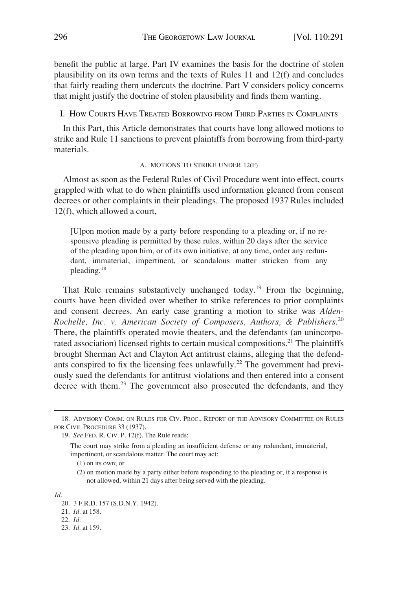<span id="page-5-0"></span>benefit the public at large. Part IV examines the basis for the doctrine of stolen plausibility on its own terms and the texts of Rules 11 and 12(f) and concludes that fairly reading them undercuts the doctrine. Part V considers policy concerns that might justify the doctrine of stolen plausibility and finds them wanting.

I. HOW COURTS HAVE TREATED BORROWING FROM THIRD PARTIES IN COMPLAINTS

In this Part, this Article demonstrates that courts have long allowed motions to strike and Rule 11 sanctions to prevent plaintiffs from borrowing from third-party materials.

#### A. MOTIONS TO STRIKE UNDER 12(F)

Almost as soon as the Federal Rules of Civil Procedure went into effect, courts grappled with what to do when plaintiffs used information gleaned from consent decrees or other complaints in their pleadings. The proposed 1937 Rules included 12(f), which allowed a court,

[U]pon motion made by a party before responding to a pleading or, if no responsive pleading is permitted by these rules, within 20 days after the service of the pleading upon him, or of its own initiative, at any time, order any redundant, immaterial, impertinent, or scandalous matter stricken from any pleading.<sup>18</sup>

That Rule remains substantively unchanged today.<sup>19</sup> From the beginning, courts have been divided over whether to strike references to prior complaints and consent decrees. An early case granting a motion to strike was *Alden-Rochelle, Inc. v. American Society of Composers, Authors, & Publishers*. 20 There, the plaintiffs operated movie theaters, and the defendants (an unincorporated association) licensed rights to certain musical compositions.<sup>21</sup> The plaintiffs brought Sherman Act and Clayton Act antitrust claims, alleging that the defendants conspired to fix the licensing fees unlawfully.<sup>22</sup> The government had previously sued the defendants for antitrust violations and then entered into a consent decree with them.<sup>23</sup> The government also prosecuted the defendants, and they

(1) on its own; or

(2) on motion made by a party either before responding to the pleading or, if a response is not allowed, within 21 days after being served with the pleading.

*Id.* 

- 22. *Id.*
- 23. *Id.* at 159.

<sup>18.</sup> ADVISORY COMM. ON RULES FOR CIV. PROC., REPORT OF THE ADVISORY COMMITTEE ON RULES FOR CIVIL PROCEDURE 33 (1937).

<sup>19.</sup> *See* FED. R. CIV. P. 12(f). The Rule reads:

The court may strike from a pleading an insufficient defense or any redundant, immaterial, impertinent, or scandalous matter. The court may act:

<sup>20. 3</sup> F.R.D. 157 (S.D.N.Y. 1942).

<sup>21.</sup> *Id.* at 158.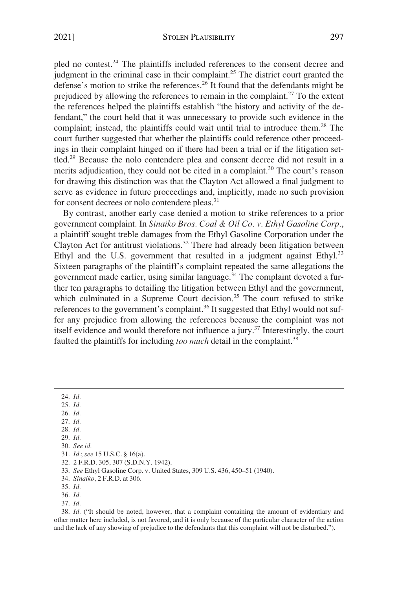pled no contest.24 The plaintiffs included references to the consent decree and judgment in the criminal case in their complaint.25 The district court granted the defense's motion to strike the references.26 It found that the defendants might be prejudiced by allowing the references to remain in the complaint.<sup>27</sup> To the extent the references helped the plaintiffs establish "the history and activity of the defendant," the court held that it was unnecessary to provide such evidence in the complaint; instead, the plaintiffs could wait until trial to introduce them.<sup>28</sup> The court further suggested that whether the plaintiffs could reference other proceedings in their complaint hinged on if there had been a trial or if the litigation settled.29 Because the nolo contendere plea and consent decree did not result in a merits adjudication, they could not be cited in a complaint.<sup>30</sup> The court's reason for drawing this distinction was that the Clayton Act allowed a final judgment to serve as evidence in future proceedings and, implicitly, made no such provision for consent decrees or nolo contendere pleas.<sup>31</sup>

By contrast, another early case denied a motion to strike references to a prior government complaint. In *Sinaiko Bros. Coal & Oil Co. v. Ethyl Gasoline Corp.*, a plaintiff sought treble damages from the Ethyl Gasoline Corporation under the Clayton Act for antitrust violations.<sup>32</sup> There had already been litigation between Ethyl and the U.S. government that resulted in a judgment against Ethyl.<sup>33</sup> Sixteen paragraphs of the plaintiff's complaint repeated the same allegations the government made earlier, using similar language.<sup>34</sup> The complaint devoted a further ten paragraphs to detailing the litigation between Ethyl and the government, which culminated in a Supreme Court decision.<sup>35</sup> The court refused to strike references to the government's complaint.<sup>36</sup> It suggested that Ethyl would not suffer any prejudice from allowing the references because the complaint was not itself evidence and would therefore not influence a jury.37 Interestingly, the court faulted the plaintiffs for including *too much* detail in the complaint.<sup>38</sup>

24. *Id.*  25. *Id.*  26. *Id.*  27. *Id.*  28. *Id.*  29. *Id.*  30. *See id.*  31. *Id.*; *see* 15 U.S.C. § 16(a). 32. 2 F.R.D. 305, 307 (S.D.N.Y. 1942). 33. *See* Ethyl Gasoline Corp. v. United States, 309 U.S. 436, 450–51 (1940). 34. *Sinaiko*, 2 F.R.D. at 306. 35. *Id.*  36. *Id.*  37. *Id.*  38. *Id.* ("It should be noted, however, that a complaint containing the amount of evidentiary and other matter here included, is not favored, and it is only because of the particular character of the action

and the lack of any showing of prejudice to the defendants that this complaint will not be disturbed.").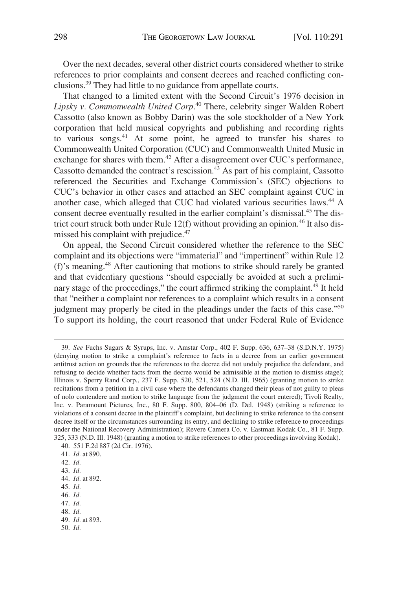Over the next decades, several other district courts considered whether to strike references to prior complaints and consent decrees and reached conflicting conclusions.39 They had little to no guidance from appellate courts.

That changed to a limited extent with the Second Circuit's 1976 decision in *Lipsky v. Commonwealth United Corp*. 40 There, celebrity singer Walden Robert Cassotto (also known as Bobby Darin) was the sole stockholder of a New York corporation that held musical copyrights and publishing and recording rights to various songs.41 At some point, he agreed to transfer his shares to Commonwealth United Corporation (CUC) and Commonwealth United Music in exchange for shares with them.42 After a disagreement over CUC's performance, Cassotto demanded the contract's rescission. $43$  As part of his complaint, Cassotto referenced the Securities and Exchange Commission's (SEC) objections to CUC's behavior in other cases and attached an SEC complaint against CUC in another case, which alleged that CUC had violated various securities laws.<sup>44</sup> A consent decree eventually resulted in the earlier complaint's dismissal.45 The district court struck both under Rule  $12(f)$  without providing an opinion.<sup>46</sup> It also dismissed his complaint with prejudice.<sup>47</sup>

On appeal, the Second Circuit considered whether the reference to the SEC complaint and its objections were "immaterial" and "impertinent" within Rule 12 (f)'s meaning.48 After cautioning that motions to strike should rarely be granted and that evidentiary questions "should especially be avoided at such a preliminary stage of the proceedings," the court affirmed striking the complaint.<sup>49</sup> It held that "neither a complaint nor references to a complaint which results in a consent judgment may properly be cited in the pleadings under the facts of this case."50 To support its holding, the court reasoned that under Federal Rule of Evidence

- 44. *Id.* at 892.
- 45. *Id.*
- 46. *Id.*
- 47. *Id.*

- 49. *Id.* at 893.
- 50. *Id.*

<sup>39.</sup> *See* Fuchs Sugars & Syrups, Inc. v. Amstar Corp., 402 F. Supp. 636, 637–38 (S.D.N.Y. 1975) (denying motion to strike a complaint's reference to facts in a decree from an earlier government antitrust action on grounds that the references to the decree did not unduly prejudice the defendant, and refusing to decide whether facts from the decree would be admissible at the motion to dismiss stage); Illinois v. Sperry Rand Corp., 237 F. Supp. 520, 521, 524 (N.D. Ill. 1965) (granting motion to strike recitations from a petition in a civil case where the defendants changed their pleas of not guilty to pleas of nolo contendere and motion to strike language from the judgment the court entered); Tivoli Realty, Inc. v. Paramount Pictures, Inc., 80 F. Supp. 800, 804–06 (D. Del. 1948) (striking a reference to violations of a consent decree in the plaintiff's complaint, but declining to strike reference to the consent decree itself or the circumstances surrounding its entry, and declining to strike reference to proceedings under the National Recovery Administration); Revere Camera Co. v. Eastman Kodak Co., 81 F. Supp. 325, 333 (N.D. Ill. 1948) (granting a motion to strike references to other proceedings involving Kodak).

<sup>40. 551</sup> F.2d 887 (2d Cir. 1976).

<sup>41.</sup> *Id.* at 890.

<sup>42.</sup> *Id.* 

<sup>43.</sup> *Id.* 

<sup>48.</sup> *Id.*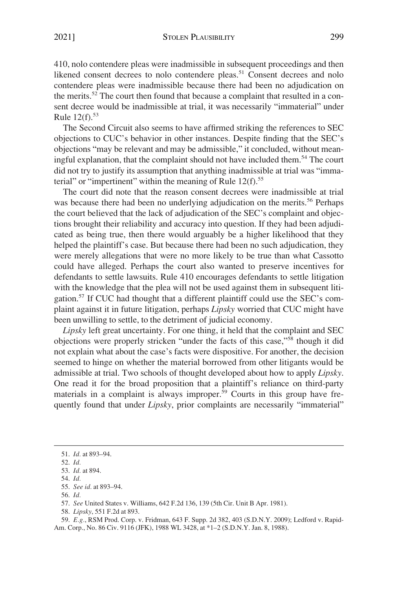410, nolo contendere pleas were inadmissible in subsequent proceedings and then likened consent decrees to nolo contendere pleas.<sup>51</sup> Consent decrees and nolo contendere pleas were inadmissible because there had been no adjudication on the merits.<sup>52</sup> The court then found that because a complaint that resulted in a consent decree would be inadmissible at trial, it was necessarily "immaterial" under Rule  $12(f)$ .<sup>53</sup>

The Second Circuit also seems to have affirmed striking the references to SEC objections to CUC's behavior in other instances. Despite finding that the SEC's objections "may be relevant and may be admissible," it concluded, without meaningful explanation, that the complaint should not have included them.<sup>54</sup> The court did not try to justify its assumption that anything inadmissible at trial was "immaterial" or "impertinent" within the meaning of Rule 12(f).<sup>55</sup>

The court did note that the reason consent decrees were inadmissible at trial was because there had been no underlying adjudication on the merits.<sup>56</sup> Perhaps the court believed that the lack of adjudication of the SEC's complaint and objections brought their reliability and accuracy into question. If they had been adjudicated as being true, then there would arguably be a higher likelihood that they helped the plaintiff's case. But because there had been no such adjudication, they were merely allegations that were no more likely to be true than what Cassotto could have alleged. Perhaps the court also wanted to preserve incentives for defendants to settle lawsuits. Rule 410 encourages defendants to settle litigation with the knowledge that the plea will not be used against them in subsequent litigation.57 If CUC had thought that a different plaintiff could use the SEC's complaint against it in future litigation, perhaps *Lipsky* worried that CUC might have been unwilling to settle, to the detriment of judicial economy.

*Lipsky* left great uncertainty. For one thing, it held that the complaint and SEC objections were properly stricken "under the facts of this case,"58 though it did not explain what about the case's facts were dispositive. For another, the decision seemed to hinge on whether the material borrowed from other litigants would be admissible at trial. Two schools of thought developed about how to apply *Lipsky*. One read it for the broad proposition that a plaintiff's reliance on third-party materials in a complaint is always improper.<sup>59</sup> Courts in this group have frequently found that under *Lipsky*, prior complaints are necessarily "immaterial"

59. *E.g.*, RSM Prod. Corp. v. Fridman, 643 F. Supp. 2d 382, 403 (S.D.N.Y. 2009); Ledford v. Rapid-Am. Corp., No. 86 Civ. 9116 (JFK), 1988 WL 3428, at \*1–2 (S.D.N.Y. Jan. 8, 1988).

<sup>51.</sup> *Id.* at 893–94.

<sup>52.</sup> *Id.* 

<sup>53.</sup> *Id.* at 894.

<sup>54.</sup> *Id.* 

<sup>55.</sup> *See id.* at 893–94.

<sup>56.</sup> *Id.* 

<sup>57.</sup> *See* United States v. Williams, 642 F.2d 136, 139 (5th Cir. Unit B Apr. 1981).

<sup>58.</sup> *Lipsky*, 551 F.2d at 893.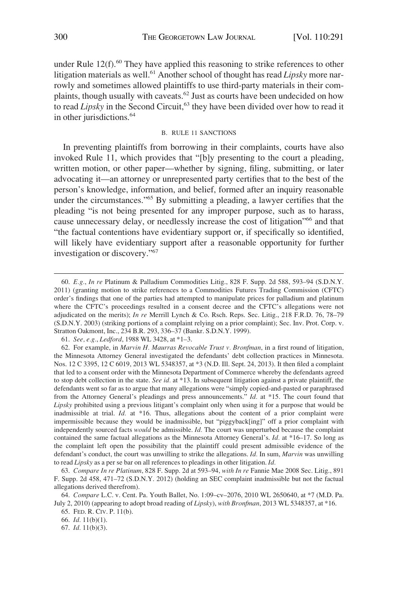<span id="page-9-0"></span>under Rule  $12(f)$ .<sup>60</sup> They have applied this reasoning to strike references to other litigation materials as well.<sup>61</sup> Another school of thought has read *Lipsky* more narrowly and sometimes allowed plaintiffs to use third-party materials in their complaints, though usually with caveats.62 Just as courts have been undecided on how to read *Lipsky* in the Second Circuit,<sup>63</sup> they have been divided over how to read it in other jurisdictions.<sup>64</sup>

### B. RULE 11 SANCTIONS

In preventing plaintiffs from borrowing in their complaints, courts have also invoked Rule 11, which provides that "[b]y presenting to the court a pleading, written motion, or other paper—whether by signing, filing, submitting, or later advocating it—an attorney or unrepresented party certifies that to the best of the person's knowledge, information, and belief, formed after an inquiry reasonable under the circumstances."65 By submitting a pleading, a lawyer certifies that the pleading "is not being presented for any improper purpose, such as to harass, cause unnecessary delay, or needlessly increase the cost of litigation<sup>766</sup> and that "the factual contentions have evidentiary support or, if specifically so identified, will likely have evidentiary support after a reasonable opportunity for further investigation or discovery."<sup>67</sup>

61. *See, e.g.*, *Ledford*, 1988 WL 3428, at \*1–3.

67. *Id.* 11(b)(3).

<sup>60.</sup> *E.g.*, *In re* Platinum & Palladium Commodities Litig., 828 F. Supp. 2d 588, 593–94 (S.D.N.Y. 2011) (granting motion to strike references to a Commodities Futures Trading Commission (CFTC) order's findings that one of the parties had attempted to manipulate prices for palladium and platinum where the CFTC's proceedings resulted in a consent decree and the CFTC's allegations were not adjudicated on the merits); *In re* Merrill Lynch & Co. Rsch. Reps. Sec. Litig., 218 F.R.D. 76, 78–79 (S.D.N.Y. 2003) (striking portions of a complaint relying on a prior complaint); Sec. Inv. Prot. Corp. v. Stratton Oakmont, Inc., 234 B.R. 293, 336–37 (Bankr. S.D.N.Y. 1999).

<sup>62.</sup> For example, in *Marvin H. Maurras Revocable Trust v. Bronfman*, in a first round of litigation, the Minnesota Attorney General investigated the defendants' debt collection practices in Minnesota. Nos. 12 C 3395, 12 C 6019, 2013 WL 5348357, at \*3 (N.D. Ill. Sept. 24, 2013). It then filed a complaint that led to a consent order with the Minnesota Department of Commerce whereby the defendants agreed to stop debt collection in the state. *See id.* at \*13. In subsequent litigation against a private plaintiff, the defendants went so far as to argue that many allegations were "simply copied-and-pasted or paraphrased from the Attorney General's pleadings and press announcements." *Id.* at \*15. The court found that *Lipsky* prohibited using a previous litigant's complaint only when using it for a purpose that would be inadmissible at trial. *Id.* at \*16. Thus, allegations about the content of a prior complaint were impermissible because they would be inadmissible, but "piggyback[ing]" off a prior complaint with independently sourced facts *would* be admissible. *Id.* The court was unperturbed because the complaint contained the same factual allegations as the Minnesota Attorney General's. *Id.* at \*16–17. So long as the complaint left open the possibility that the plaintiff could present admissible evidence of the defendant's conduct, the court was unwilling to strike the allegations. *Id.* In sum, *Marvin* was unwilling to read *Lipsky* as a per se bar on all references to pleadings in other litigation. *Id.* 

<sup>63.</sup> *Compare In re Platinum*, 828 F. Supp. 2d at 593–94, *with In re* Fannie Mae 2008 Sec. Litig., 891 F. Supp. 2d 458, 471–72 (S.D.N.Y. 2012) (holding an SEC complaint inadmissible but not the factual allegations derived therefrom).

<sup>64.</sup> *Compare* L.C. v. Cent. Pa. Youth Ballet, No. 1:09–cv–2076, 2010 WL 2650640, at \*7 (M.D. Pa. July 2, 2010) (appearing to adopt broad reading of *Lipsky*), *with Bronfman*, 2013 WL 5348357, at \*16.

<sup>65.</sup> FED. R. CIV. P. 11(b).

<sup>66.</sup> *Id.* 11(b)(1).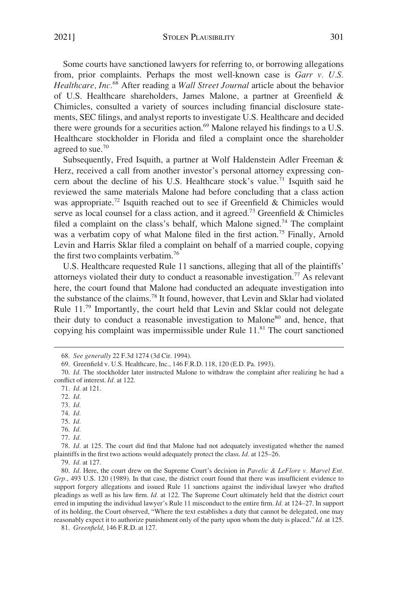2021] STOLEN PLAUSIBILITY 301

Some courts have sanctioned lawyers for referring to, or borrowing allegations from, prior complaints. Perhaps the most well-known case is *Garr v. U.S. Healthcare, Inc.*68 After reading a *Wall Street Journal* article about the behavior of U.S. Healthcare shareholders, James Malone, a partner at Greenfield & Chimicles, consulted a variety of sources including financial disclosure statements, SEC filings, and analyst reports to investigate U.S. Healthcare and decided there were grounds for a securities action.<sup>69</sup> Malone relayed his findings to a U.S. Healthcare stockholder in Florida and filed a complaint once the shareholder agreed to sue.<sup>70</sup>

Subsequently, Fred Isquith, a partner at Wolf Haldenstein Adler Freeman & Herz, received a call from another investor's personal attorney expressing concern about the decline of his U.S. Healthcare stock's value.<sup>71</sup> Isquith said he reviewed the same materials Malone had before concluding that a class action was appropriate.<sup>72</sup> Isquith reached out to see if Greenfield & Chimicles would serve as local counsel for a class action, and it agreed.<sup>73</sup> Greenfield & Chimicles filed a complaint on the class's behalf, which Malone signed.<sup>74</sup> The complaint was a verbatim copy of what Malone filed in the first action.<sup>75</sup> Finally, Arnold Levin and Harris Sklar filed a complaint on behalf of a married couple, copying the first two complaints verbatim.76

U.S. Healthcare requested Rule 11 sanctions, alleging that all of the plaintiffs' attorneys violated their duty to conduct a reasonable investigation.77 As relevant here, the court found that Malone had conducted an adequate investigation into the substance of the claims.78 It found, however, that Levin and Sklar had violated Rule 11.79 Importantly, the court held that Levin and Sklar could not delegate their duty to conduct a reasonable investigation to Malone<sup>80</sup> and, hence, that copying his complaint was impermissible under Rule  $11.^{81}$ . The court sanctioned

71. *Id.* at 121.

72. *Id.* 

73. *Id.* 

74. *Id.* 

75. *Id.* 

76. *Id.* 

77. *Id.* 

78. *Id.* at 125. The court did find that Malone had not adequately investigated whether the named plaintiffs in the first two actions would adequately protect the class. *Id.* at 125–26.

81. *Greenfield*, 146 F.R.D. at 127.

<sup>68.</sup> *See generally* 22 F.3d 1274 (3d Cir. 1994).

<sup>69.</sup> Greenfield v. U.S. Healthcare, Inc., 146 F.R.D. 118, 120 (E.D. Pa. 1993).

<sup>70.</sup> *Id.* The stockholder later instructed Malone to withdraw the complaint after realizing he had a conflict of interest. *Id.* at 122.

<sup>79.</sup> *Id.* at 127.

<sup>80.</sup> *Id.* Here, the court drew on the Supreme Court's decision in *Pavelic & LeFlore v. Marvel Ent. Grp.*, 493 U.S. 120 (1989). In that case, the district court found that there was insufficient evidence to support forgery allegations and issued Rule 11 sanctions against the individual lawyer who drafted pleadings as well as his law firm. *Id.* at 122. The Supreme Court ultimately held that the district court erred in imputing the individual lawyer's Rule 11 misconduct to the entire firm. *Id.* at 124–27. In support of its holding, the Court observed, "Where the text establishes a duty that cannot be delegated, one may reasonably expect it to authorize punishment only of the party upon whom the duty is placed." *Id.* at 125.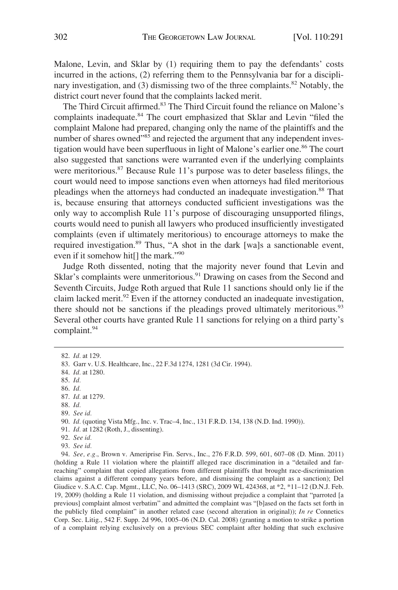Malone, Levin, and Sklar by (1) requiring them to pay the defendants' costs incurred in the actions, (2) referring them to the Pennsylvania bar for a disciplinary investigation, and (3) dismissing two of the three complaints.<sup>82</sup> Notably, the district court never found that the complaints lacked merit.

The Third Circuit affirmed.83 The Third Circuit found the reliance on Malone's complaints inadequate.<sup>84</sup> The court emphasized that Sklar and Levin "filed the complaint Malone had prepared, changing only the name of the plaintiffs and the number of shares owned<sup>785</sup> and rejected the argument that any independent investigation would have been superfluous in light of Malone's earlier one.<sup>86</sup> The court also suggested that sanctions were warranted even if the underlying complaints were meritorious.<sup>87</sup> Because Rule 11's purpose was to deter baseless filings, the court would need to impose sanctions even when attorneys had filed meritorious pleadings when the attorneys had conducted an inadequate investigation.<sup>88</sup> That is, because ensuring that attorneys conducted sufficient investigations was the only way to accomplish Rule 11's purpose of discouraging unsupported filings, courts would need to punish all lawyers who produced insufficiently investigated complaints (even if ultimately meritorious) to encourage attorneys to make the required investigation.<sup>89</sup> Thus, "A shot in the dark [wa]s a sanctionable event, even if it somehow hit<sup>[]</sup> the mark."<sup>90</sup>

Judge Roth dissented, noting that the majority never found that Levin and Sklar's complaints were unmeritorious.<sup>91</sup> Drawing on cases from the Second and Seventh Circuits, Judge Roth argued that Rule 11 sanctions should only lie if the claim lacked merit.<sup>92</sup> Even if the attorney conducted an inadequate investigation, there should not be sanctions if the pleadings proved ultimately meritorious.<sup>93</sup> Several other courts have granted Rule 11 sanctions for relying on a third party's complaint.94

<sup>82.</sup> *Id.* at 129.

<sup>83.</sup> Garr v. U.S. Healthcare, Inc., 22 F.3d 1274, 1281 (3d Cir. 1994).

<sup>84.</sup> *Id.* at 1280.

<sup>85.</sup> *Id.* 

<sup>86.</sup> *Id.* 

<sup>87.</sup> *Id.* at 1279.

<sup>88.</sup> *Id.* 

<sup>89.</sup> *See id.* 

<sup>90.</sup> *Id.* (quoting Vista Mfg., Inc. v. Trac-4, Inc., 131 F.R.D. 134, 138 (N.D. Ind. 1990)).

<sup>91.</sup> *Id.* at 1282 (Roth, J., dissenting).

<sup>92.</sup> *See id.* 

<sup>93.</sup> *See id.* 

<sup>94.</sup> *See, e.g.*, Brown v. Ameriprise Fin. Servs., Inc., 276 F.R.D. 599, 601, 607–08 (D. Minn. 2011) (holding a Rule 11 violation where the plaintiff alleged race discrimination in a "detailed and farreaching" complaint that copied allegations from different plaintiffs that brought race-discrimination claims against a different company years before, and dismissing the complaint as a sanction); Del Giudice v. S.A.C. Cap. Mgmt., LLC, No. 06–1413 (SRC), 2009 WL 424368, at \*2, \*11–12 (D.N.J. Feb. 19, 2009) (holding a Rule 11 violation, and dismissing without prejudice a complaint that "parroted [a previous] complaint almost verbatim" and admitted the complaint was "[b]ased on the facts set forth in the publicly filed complaint" in another related case (second alteration in original)); *In re* Connetics Corp. Sec. Litig., 542 F. Supp. 2d 996, 1005–06 (N.D. Cal. 2008) (granting a motion to strike a portion of a complaint relying exclusively on a previous SEC complaint after holding that such exclusive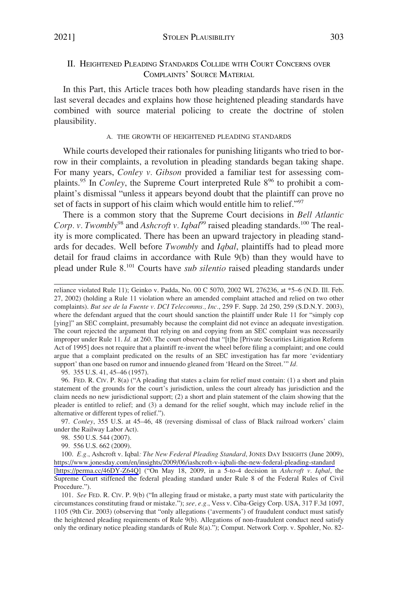# <span id="page-12-0"></span>II. HEIGHTENED PLEADING STANDARDS COLLIDE WITH COURT CONCERNS OVER COMPLAINTS' SOURCE MATERIAL

In this Part, this Article traces both how pleading standards have risen in the last several decades and explains how those heightened pleading standards have combined with source material policing to create the doctrine of stolen plausibility.

### A. THE GROWTH OF HEIGHTENED PLEADING STANDARDS

While courts developed their rationales for punishing litigants who tried to borrow in their complaints, a revolution in pleading standards began taking shape. For many years, *Conley v. Gibson* provided a familiar test for assessing complaints.<sup>95</sup> In *Conley*, the Supreme Court interpreted Rule 8<sup>96</sup> to prohibit a complaint's dismissal "unless it appears beyond doubt that the plaintiff can prove no set of facts in support of his claim which would entitle him to relief."<sup>97</sup>

There is a common story that the Supreme Court decisions in *Bell Atlantic*  Corp. v. Twombly<sup>98</sup> and *Ashcroft v. Iqbal*<sup>99</sup> raised pleading standards.<sup>100</sup> The reality is more complicated. There has been an upward trajectory in pleading standards for decades. Well before *Twombly* and *Iqbal*, plaintiffs had to plead more detail for fraud claims in accordance with Rule 9(b) than they would have to plead under Rule 8.101 Courts have *sub silentio* raised pleading standards under

95. 355 U.S. 41, 45–46 (1957).

96. FED. R. CIV. P. 8(a) ("A pleading that states a claim for relief must contain: (1) a short and plain statement of the grounds for the court's jurisdiction, unless the court already has jurisdiction and the claim needs no new jurisdictional support; (2) a short and plain statement of the claim showing that the pleader is entitled to relief; and (3) a demand for the relief sought, which may include relief in the alternative or different types of relief.").

97. *Conley*, 355 U.S. at 45–46, 48 (reversing dismissal of class of Black railroad workers' claim under the Railway Labor Act).

98. 550 U.S. 544 (2007).

99. 556 U.S. 662 (2009).

100. E.g., Ashcroft v. Iqbal: The New Federal Pleading Standard, JONES DAY INSIGHTS (June 2009), <https://www.jonesday.com/en/insights/2009/06/iashcroft-v-iqbali-the-new-federal-pleading-standard> [<https://perma.cc/46DY-Z64Q>] ("On May 18, 2009, in a 5-to-4 decision in *Ashcroft v. Iqbal*, the Supreme Court stiffened the federal pleading standard under Rule 8 of the Federal Rules of Civil Procedure.").

101. *See* FED. R. CIV. P. 9(b) ("In alleging fraud or mistake, a party must state with particularity the circumstances constituting fraud or mistake."); *see, e.g.*, Vess v. Ciba-Geigy Corp. USA, 317 F.3d 1097, 1105 (9th Cir. 2003) (observing that "only allegations ('averments') of fraudulent conduct must satisfy the heightened pleading requirements of Rule 9(b). Allegations of non-fraudulent conduct need satisfy only the ordinary notice pleading standards of Rule 8(a)."); Comput. Network Corp. v. Spohler, No. 82-

reliance violated Rule 11); Geinko v. Padda, No. 00 C 5070, 2002 WL 276236, at \*5–6 (N.D. Ill. Feb. 27, 2002) (holding a Rule 11 violation where an amended complaint attached and relied on two other complaints). *But see de la Fuente v. DCI Telecomms., Inc.*, 259 F. Supp. 2d 250, 259 (S.D.N.Y. 2003), where the defendant argued that the court should sanction the plaintiff under Rule 11 for "simply cop [ying]" an SEC complaint, presumably because the complaint did not evince an adequate investigation. The court rejected the argument that relying on and copying from an SEC complaint was necessarily improper under Rule 11. *Id.* at 260. The court observed that "[t]he [Private Securities Litigation Reform Act of 1995] does not require that a plaintiff re-invent the wheel before filing a complaint; and one could argue that a complaint predicated on the results of an SEC investigation has far more 'evidentiary support' than one based on rumor and innuendo gleaned from 'Heard on the Street.'" *Id.*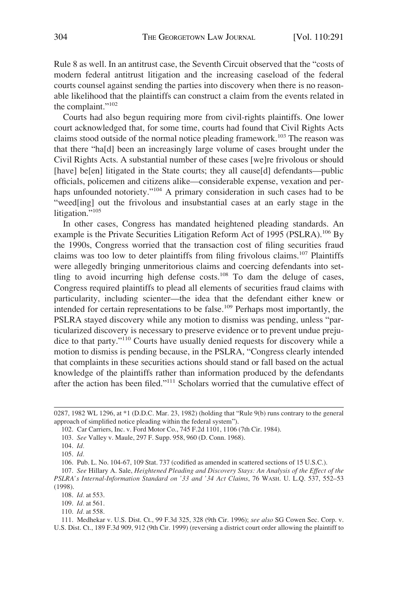Rule 8 as well. In an antitrust case, the Seventh Circuit observed that the "costs of modern federal antitrust litigation and the increasing caseload of the federal courts counsel against sending the parties into discovery when there is no reasonable likelihood that the plaintiffs can construct a claim from the events related in the complaint."<sup>102</sup>

Courts had also begun requiring more from civil-rights plaintiffs. One lower court acknowledged that, for some time, courts had found that Civil Rights Acts claims stood outside of the normal notice pleading framework.103 The reason was that there "ha[d] been an increasingly large volume of cases brought under the Civil Rights Acts. A substantial number of these cases [we]re frivolous or should [have] be[en] litigated in the State courts; they all cause[d] defendants—public officials, policemen and citizens alike—considerable expense, vexation and perhaps unfounded notoriety."<sup>104</sup> A primary consideration in such cases had to be "weed[ing] out the frivolous and insubstantial cases at an early stage in the litigation."<sup>105</sup>

In other cases, Congress has mandated heightened pleading standards. An example is the Private Securities Litigation Reform Act of 1995 (PSLRA).<sup>106</sup> By the 1990s, Congress worried that the transaction cost of filing securities fraud claims was too low to deter plaintiffs from filing frivolous claims.<sup>107</sup> Plaintiffs were allegedly bringing unmeritorious claims and coercing defendants into settling to avoid incurring high defense costs.<sup>108</sup> To dam the deluge of cases, Congress required plaintiffs to plead all elements of securities fraud claims with particularity, including scienter—the idea that the defendant either knew or intended for certain representations to be false.<sup>109</sup> Perhaps most importantly, the PSLRA stayed discovery while any motion to dismiss was pending, unless "particularized discovery is necessary to preserve evidence or to prevent undue prejudice to that party."110 Courts have usually denied requests for discovery while a motion to dismiss is pending because, in the PSLRA, "Congress clearly intended that complaints in these securities actions should stand or fall based on the actual knowledge of the plaintiffs rather than information produced by the defendants after the action has been filed."111 Scholars worried that the cumulative effect of

106. Pub. L. No. 104-67, 109 Stat. 737 (codified as amended in scattered sections of 15 U.S.C.).

<sup>0287, 1982</sup> WL 1296, at \*1 (D.D.C. Mar. 23, 1982) (holding that "Rule 9(b) runs contrary to the general approach of simplified notice pleading within the federal system").

<sup>102.</sup> Car Carriers, Inc. v. Ford Motor Co., 745 F.2d 1101, 1106 (7th Cir. 1984).

<sup>103.</sup> *See* Valley v. Maule, 297 F. Supp. 958, 960 (D. Conn. 1968).

<sup>104.</sup> *Id.* 

<sup>105.</sup> *Id.* 

<sup>107.</sup> *See* Hillary A. Sale, *Heightened Pleading and Discovery Stays: An Analysis of the Effect of the PSLRA's Internal-Information Standard on '33 and '34 Act Claims*, 76 WASH. U. L.Q. 537, 552–53 (1998).

<sup>108.</sup> *Id.* at 553.

<sup>109.</sup> *Id.* at 561.

<sup>110.</sup> *Id.* at 558.

<sup>111.</sup> Medhekar v. U.S. Dist. Ct., 99 F.3d 325, 328 (9th Cir. 1996); *see also* SG Cowen Sec. Corp. v. U.S. Dist. Ct., 189 F.3d 909, 912 (9th Cir. 1999) (reversing a district court order allowing the plaintiff to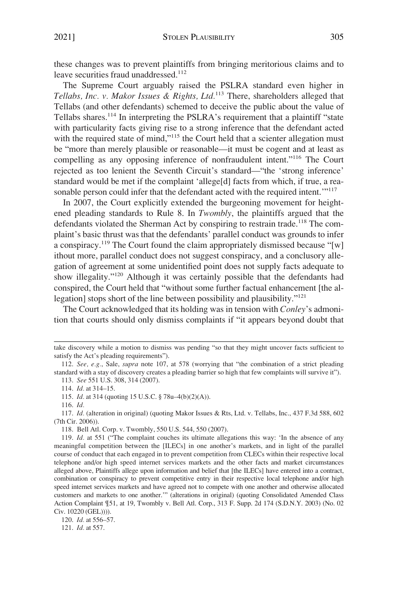these changes was to prevent plaintiffs from bringing meritorious claims and to leave securities fraud unaddressed.<sup>112</sup>

The Supreme Court arguably raised the PSLRA standard even higher in *Tellabs, Inc. v. Makor Issues & Rights, Ltd.*113 There, shareholders alleged that Tellabs (and other defendants) schemed to deceive the public about the value of Tellabs shares.<sup>114</sup> In interpreting the PSLRA's requirement that a plaintiff "state" with particularity facts giving rise to a strong inference that the defendant acted with the required state of mind,"<sup>115</sup> the Court held that a scienter allegation must be "more than merely plausible or reasonable—it must be cogent and at least as compelling as any opposing inference of nonfraudulent intent."116 The Court rejected as too lenient the Seventh Circuit's standard—"the 'strong inference' standard would be met if the complaint 'allege[d] facts from which, if true, a reasonable person could infer that the defendant acted with the required intent.<sup>"117</sup>

In 2007, the Court explicitly extended the burgeoning movement for heightened pleading standards to Rule 8. In *Twombly*, the plaintiffs argued that the defendants violated the Sherman Act by conspiring to restrain trade.<sup>118</sup> The complaint's basic thrust was that the defendants' parallel conduct was grounds to infer a conspiracy.<sup>119</sup> The Court found the claim appropriately dismissed because "[w] ithout more, parallel conduct does not suggest conspiracy, and a conclusory allegation of agreement at some unidentified point does not supply facts adequate to show illegality."120 Although it was certainly possible that the defendants had conspired, the Court held that "without some further factual enhancement [the allegation] stops short of the line between possibility and plausibility."<sup>121</sup>

The Court acknowledged that its holding was in tension with *Conley*'s admonition that courts should only dismiss complaints if "it appears beyond doubt that

take discovery while a motion to dismiss was pending "so that they might uncover facts sufficient to satisfy the Act's pleading requirements").

<sup>112.</sup> *See, e.g.*, Sale, *supra* note 107, at 578 (worrying that "the combination of a strict pleading standard with a stay of discovery creates a pleading barrier so high that few complaints will survive it").

<sup>113.</sup> *See* 551 U.S. 308, 314 (2007).

<sup>114.</sup> *Id.* at 314–15.

<sup>115.</sup> *Id.* at 314 (quoting 15 U.S.C. § 78u–4(b)(2)(A)).

<sup>116.</sup> *Id.* 

<sup>117.</sup> *Id.* (alteration in original) (quoting Makor Issues & Rts, Ltd. v. Tellabs, Inc., 437 F.3d 588, 602 (7th Cir. 2006)).

<sup>118.</sup> Bell Atl. Corp. v. Twombly, 550 U.S. 544, 550 (2007).

<sup>119.</sup> *Id.* at 551 ("The complaint couches its ultimate allegations this way: 'In the absence of any meaningful competition between the [ILECs] in one another's markets, and in light of the parallel course of conduct that each engaged in to prevent competition from CLECs within their respective local telephone and/or high speed internet services markets and the other facts and market circumstances alleged above, Plaintiffs allege upon information and belief that [the ILECs] have entered into a contract, combination or conspiracy to prevent competitive entry in their respective local telephone and/or high speed internet services markets and have agreed not to compete with one another and otherwise allocated customers and markets to one another.'" (alterations in original) (quoting Consolidated Amended Class Action Complaint ¶51, at 19, Twombly v. Bell Atl. Corp., 313 F. Supp. 2d 174 (S.D.N.Y. 2003) (No. 02 Civ. 10220 (GEL)))).

<sup>120.</sup> *Id.* at 556–57.

<sup>121.</sup> *Id.* at 557.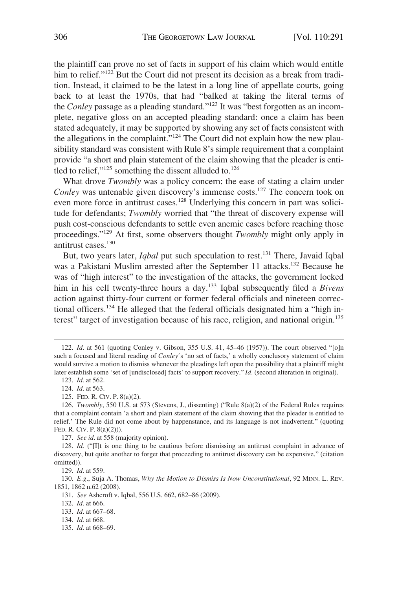the plaintiff can prove no set of facts in support of his claim which would entitle him to relief."<sup>122</sup> But the Court did not present its decision as a break from tradition. Instead, it claimed to be the latest in a long line of appellate courts, going back to at least the 1970s, that had "balked at taking the literal terms of the *Conley* passage as a pleading standard."123 It was "best forgotten as an incomplete, negative gloss on an accepted pleading standard: once a claim has been stated adequately, it may be supported by showing any set of facts consistent with the allegations in the complaint."<sup>124</sup> The Court did not explain how the new plausibility standard was consistent with Rule 8's simple requirement that a complaint provide "a short and plain statement of the claim showing that the pleader is entitled to relief," $125$  something the dissent alluded to. $126$ 

What drove *Twombly* was a policy concern: the ease of stating a claim under *Conley* was untenable given discovery's immense costs.<sup>127</sup> The concern took on even more force in antitrust cases.<sup>128</sup> Underlying this concern in part was solicitude for defendants; *Twombly* worried that "the threat of discovery expense will push cost-conscious defendants to settle even anemic cases before reaching those proceedings."129 At first, some observers thought *Twombly* might only apply in antitrust cases.<sup>130</sup>

But, two years later, *Iqbal* put such speculation to rest.<sup>131</sup> There, Javaid Iqbal was a Pakistani Muslim arrested after the September 11 attacks.<sup>132</sup> Because he was of "high interest" to the investigation of the attacks, the government locked him in his cell twenty-three hours a day.<sup>133</sup> Iqbal subsequently filed a *Bivens* action against thirty-four current or former federal officials and nineteen correctional officers.134 He alleged that the federal officials designated him a "high interest" target of investigation because of his race, religion, and national origin.<sup>135</sup>

<sup>122.</sup> *Id.* at 561 (quoting Conley v. Gibson, 355 U.S. 41, 45–46 (1957)). The court observed "[o]n such a focused and literal reading of *Conley'*s 'no set of facts,' a wholly conclusory statement of claim would survive a motion to dismiss whenever the pleadings left open the possibility that a plaintiff might later establish some 'set of [undisclosed] facts' to support recovery." *Id.* (second alteration in original).

<sup>123.</sup> *Id.* at 562.

<sup>124.</sup> *Id.* at 563.

<sup>125.</sup> FED. R. CIV. P. 8(a)(2).

<sup>126.</sup> *Twombly*, 550 U.S. at 573 (Stevens, J., dissenting) ("Rule 8(a)(2) of the Federal Rules requires that a complaint contain 'a short and plain statement of the claim showing that the pleader is entitled to relief.' The Rule did not come about by happenstance, and its language is not inadvertent." (quoting FED. R. CIV. P. 8(a)(2))).

<sup>127.</sup> *See id.* at 558 (majority opinion).

<sup>128.</sup> *Id.* ("IIt is one thing to be cautious before dismissing an antitrust complaint in advance of discovery, but quite another to forget that proceeding to antitrust discovery can be expensive." (citation omitted)).

<sup>129.</sup> *Id.* at 559.

<sup>130.</sup> *E.g.*, Suja A. Thomas, *Why the Motion to Dismiss Is Now Unconstitutional*, 92 MINN. L. REV. 1851, 1862 n.62 (2008).

<sup>131.</sup> *See* Ashcroft v. Iqbal, 556 U.S. 662, 682–86 (2009).

<sup>132.</sup> *Id.* at 666.

<sup>133.</sup> *Id.* at 667–68.

<sup>134.</sup> *Id.* at 668.

<sup>135.</sup> *Id.* at 668–69.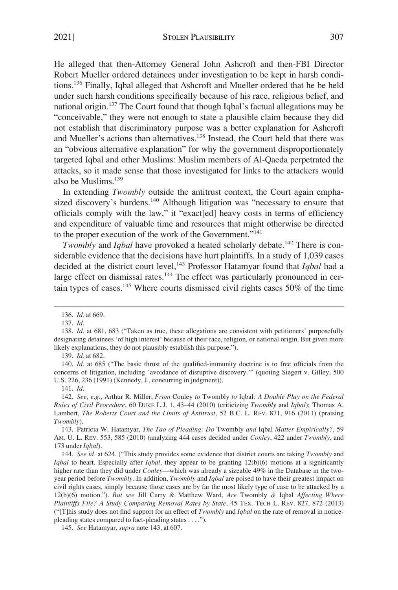He alleged that then-Attorney General John Ashcroft and then-FBI Director Robert Mueller ordered detainees under investigation to be kept in harsh conditions.136 Finally, Iqbal alleged that Ashcroft and Mueller ordered that he be held under such harsh conditions specifically because of his race, religious belief, and national origin.137 The Court found that though Iqbal's factual allegations may be "conceivable," they were not enough to state a plausible claim because they did not establish that discriminatory purpose was a better explanation for Ashcroft and Mueller's actions than alternatives.<sup>138</sup> Instead, the Court held that there was an "obvious alternative explanation" for why the government disproportionately targeted Iqbal and other Muslims: Muslim members of Al-Qaeda perpetrated the attacks, so it made sense that those investigated for links to the attackers would also be Muslims.139

In extending *Twombly* outside the antitrust context, the Court again emphasized discovery's burdens.<sup>140</sup> Although litigation was "necessary to ensure that officials comply with the law," it "exact[ed] heavy costs in terms of efficiency and expenditure of valuable time and resources that might otherwise be directed to the proper execution of the work of the Government."<sup>141</sup>

*Twombly* and *Iqbal* have provoked a heated scholarly debate.<sup>142</sup> There is considerable evidence that the decisions have hurt plaintiffs. In a study of 1,039 cases decided at the district court level,143 Professor Hatamyar found that *Iqbal* had a large effect on dismissal rates.<sup>144</sup> The effect was particularly pronounced in certain types of cases.145 Where courts dismissed civil rights cases 50% of the time

140. *Id.* at 685 ("The basic thrust of the qualified-immunity doctrine is to free officials from the concerns of litigation, including 'avoidance of disruptive discovery.'" (quoting Siegert v. Gilley, 500 U.S. 226, 236 (1991) (Kennedy, J., concurring in judgment)).

141. *Id.* 

142. *See, e.g.*, Arthur R. Miller, *From* Conley *to* Twombly *to* Iqbal*: A Double Play on the Federal Rules of Civil Procedure*, 60 DUKE L.J. 1, 43–44 (2010) (criticizing *Twombly* and *Iqbal*); Thomas A. Lambert, *The Roberts Court and the Limits of Antitrust*, 52 B.C. L. REV. 871, 916 (2011) (praising *Twombly*).

143. Patricia W. Hatamyar, *The Tao of Pleading: Do* Twombly *and* Iqbal *Matter Empirically?*, 59 AM. U. L. REV. 553, 585 (2010) (analyzing 444 cases decided under *Conley*, 422 under *Twombly*, and 173 under *Iqbal*).

144. *See id.* at 624. ("This study provides some evidence that district courts are taking *Twombly* and *Iqbal* to heart. Especially after *Iqbal*, they appear to be granting 12(b)(6) motions at a significantly higher rate than they did under *Conley*—which was already a sizeable 49% in the Database in the twoyear period before *Twombly*. In addition, *Twombly* and *Iqbal* are poised to have their greatest impact on civil rights cases, simply because those cases are by far the most likely type of case to be attacked by a 12(b)(6) motion."). *But see* Jill Curry & Matthew Ward, *Are* Twombly *&* Iqbal *Affecting Where Plaintiffs File? A Study Comparing Removal Rates by State*, 45 TEX. TECH L. REV. 827, 872 (2013) ("[T]his study does not find support for an effect of *Twombly* and *Iqbal* on the rate of removal in noticepleading states compared to fact-pleading states . . . .").

145. *See* Hatamyar, *supra* note 143, at 607.

<sup>136.</sup> *Id.* at 669.

<sup>137.</sup> *Id.* 

<sup>138.</sup> *Id.* at 681, 683 ("Taken as true, these allegations are consistent with petitioners' purposefully designating detainees 'of high interest' because of their race, religion, or national origin. But given more likely explanations, they do not plausibly establish this purpose.").

<sup>139.</sup> *Id.* at 682.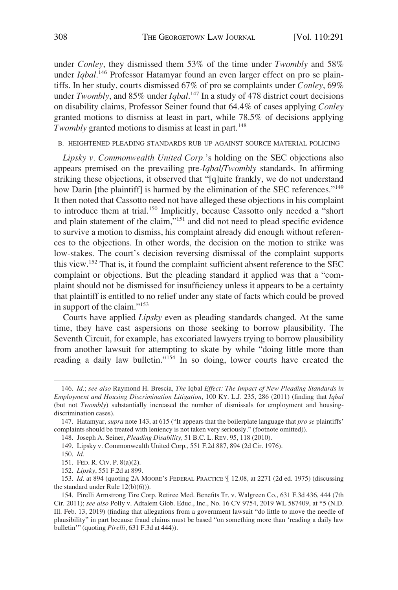<span id="page-17-0"></span>under *Conley*, they dismissed them 53% of the time under *Twombly* and 58% under *Iqbal*. 146 Professor Hatamyar found an even larger effect on pro se plaintiffs. In her study, courts dismissed 67% of pro se complaints under *Conley*, 69% under *Twombly*, and 85% under *Iqbal*. 147 In a study of 478 district court decisions on disability claims, Professor Seiner found that 64.4% of cases applying *Conley*  granted motions to dismiss at least in part, while 78.5% of decisions applying *Twombly* granted motions to dismiss at least in part.<sup>148</sup>

### B. HEIGHTENED PLEADING STANDARDS RUB UP AGAINST SOURCE MATERIAL POLICING

*Lipsky v. Commonwealth United Corp.*'s holding on the SEC objections also appears premised on the prevailing pre-*Iqbal*/*Twombly* standards. In affirming striking these objections, it observed that "[q]uite frankly, we do not understand how Darin [the plaintiff] is harmed by the elimination of the SEC references."<sup>149</sup> It then noted that Cassotto need not have alleged these objections in his complaint to introduce them at trial.<sup>150</sup> Implicitly, because Cassotto only needed a "short and plain statement of the claim,"151 and did not need to plead specific evidence to survive a motion to dismiss, his complaint already did enough without references to the objections. In other words, the decision on the motion to strike was low-stakes. The court's decision reversing dismissal of the complaint supports this view.152 That is, it found the complaint sufficient absent reference to the SEC complaint or objections. But the pleading standard it applied was that a "complaint should not be dismissed for insufficiency unless it appears to be a certainty that plaintiff is entitled to no relief under any state of facts which could be proved in support of the claim."<sup>153</sup>

Courts have applied *Lipsky* even as pleading standards changed. At the same time, they have cast aspersions on those seeking to borrow plausibility. The Seventh Circuit, for example, has excoriated lawyers trying to borrow plausibility from another lawsuit for attempting to skate by while "doing little more than reading a daily law bulletin."<sup>154</sup> In so doing, lower courts have created the

<sup>146.</sup> *Id.*; *see also* Raymond H. Brescia, *The* Iqbal *Effect: The Impact of New Pleading Standards in Employment and Housing Discrimination Litigation*, 100 KY. L.J. 235, 286 (2011) (finding that *Iqbal*  (but not *Twombly*) substantially increased the number of dismissals for employment and housingdiscrimination cases).

<sup>147.</sup> Hatamyar, *supra* note 143, at 615 ("It appears that the boilerplate language that *pro se* plaintiffs' complaints should be treated with leniency is not taken very seriously." (footnote omitted)).

<sup>148.</sup> Joseph A. Seiner, *Pleading Disability*, 51 B.C. L. REV. 95, 118 (2010).

<sup>149.</sup> Lipsky v. Commonwealth United Corp., 551 F.2d 887, 894 (2d Cir. 1976).

<sup>150.</sup> *Id.* 

<sup>151.</sup> FED. R. CIV. P. 8(a)(2).

<sup>152.</sup> *Lipsky*, 551 F.2d at 899.

<sup>153.</sup> *Id.* at 894 (quoting 2A MOORE'S FEDERAL PRACTICE ¶ 12.08, at 2271 (2d ed. 1975) (discussing the standard under Rule 12(b)(6))).

<sup>154.</sup> Pirelli Armstrong Tire Corp. Retiree Med. Benefits Tr. v. Walgreen Co., 631 F.3d 436, 444 (7th Cir. 2011); *see also* Polly v. Adtalem Glob. Educ., Inc., No. 16 CV 9754, 2019 WL 587409, at \*5 (N.D. Ill. Feb. 13, 2019) (finding that allegations from a government lawsuit "do little to move the needle of plausibility" in part because fraud claims must be based "on something more than 'reading a daily law bulletin'" (quoting *Pirelli*, 631 F.3d at 444)).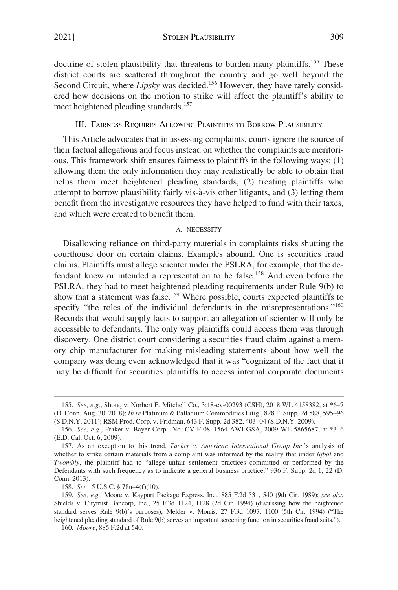<span id="page-18-0"></span>2021] STOLEN PLAUSIBILITY 309

doctrine of stolen plausibility that threatens to burden many plaintiffs.<sup>155</sup> These district courts are scattered throughout the country and go well beyond the Second Circuit, where *Lipsky* was decided.<sup>156</sup> However, they have rarely considered how decisions on the motion to strike will affect the plaintiff's ability to meet heightened pleading standards.<sup>157</sup>

### III. FAIRNESS REQUIRES ALLOWING PLAINTIFFS TO BORROW PLAUSIBILITY

This Article advocates that in assessing complaints, courts ignore the source of their factual allegations and focus instead on whether the complaints are meritorious. This framework shift ensures fairness to plaintiffs in the following ways: (1) allowing them the only information they may realistically be able to obtain that helps them meet heightened pleading standards, (2) treating plaintiffs who attempt to borrow plausibility fairly vis-à-vis other litigants, and (3) letting them benefit from the investigative resources they have helped to fund with their taxes, and which were created to benefit them.

# A. NECESSITY

Disallowing reliance on third-party materials in complaints risks shutting the courthouse door on certain claims. Examples abound. One is securities fraud claims. Plaintiffs must allege scienter under the PSLRA, for example, that the defendant knew or intended a representation to be false.<sup>158</sup> And even before the PSLRA, they had to meet heightened pleading requirements under Rule 9(b) to show that a statement was false.<sup>159</sup> Where possible, courts expected plaintiffs to specify "the roles of the individual defendants in the misrepresentations."<sup>160</sup> Records that would supply facts to support an allegation of scienter will only be accessible to defendants. The only way plaintiffs could access them was through discovery. One district court considering a securities fraud claim against a memory chip manufacturer for making misleading statements about how well the company was doing even acknowledged that it was "cognizant of the fact that it may be difficult for securities plaintiffs to access internal corporate documents

<sup>155.</sup> *See, e.g.*, Shouq v. Norbert E. Mitchell Co., 3:18-cv-00293 (CSH), 2018 WL 4158382, at \*6–7 (D. Conn. Aug. 30, 2018); *In re* Platinum & Palladium Commodities Litig., 828 F. Supp. 2d 588, 595–96 (S.D.N.Y. 2011); RSM Prod. Corp. v. Fridman, 643 F. Supp. 2d 382, 403–04 (S.D.N.Y. 2009).

<sup>156.</sup> *See, e.g.*, Fraker v. Bayer Corp., No. CV F 08–1564 AWI GSA, 2009 WL 5865687, at \*3–6 (E.D. Cal. Oct. 6, 2009).

<sup>157.</sup> As an exception to this trend, *Tucker v. American International Group Inc.*'s analysis of whether to strike certain materials from a complaint was informed by the reality that under *Iqbal* and *Twombly*, the plaintiff had to "allege unfair settlement practices committed or performed by the Defendants with such frequency as to indicate a general business practice." 936 F. Supp. 2d 1, 22 (D. Conn. 2013).

<sup>158.</sup> *See* 15 U.S.C. § 78u–4(f)(10).

<sup>159.</sup> *See, e.g.*, Moore v. Kayport Package Express, Inc., 885 F.2d 531, 540 (9th Cir. 1989); *see also*  Shields v. Citytrust Bancorp, Inc., 25 F.3d 1124, 1128 (2d Cir. 1994) (discussing how the heightened standard serves Rule 9(b)'s purposes); Melder v. Morris, 27 F.3d 1097, 1100 (5th Cir. 1994) ("The heightened pleading standard of Rule 9(b) serves an important screening function in securities fraud suits.").

<sup>160.</sup> *Moore*, 885 F.2d at 540.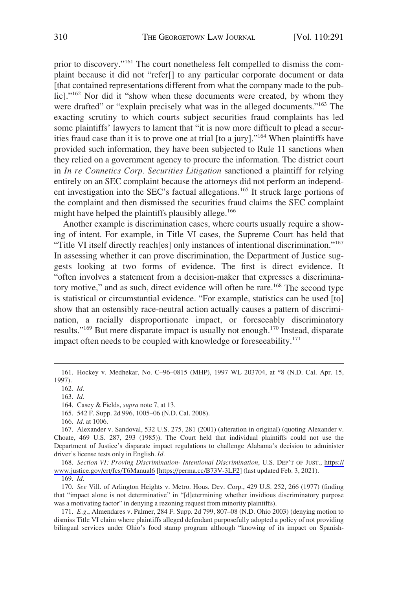prior to discovery."161 The court nonetheless felt compelled to dismiss the complaint because it did not "refer[] to any particular corporate document or data [that contained representations different from what the company made to the public]."<sup>162</sup> Nor did it "show when these documents were created, by whom they were drafted" or "explain precisely what was in the alleged documents."<sup>163</sup> The exacting scrutiny to which courts subject securities fraud complaints has led some plaintiffs' lawyers to lament that "it is now more difficult to plead a securities fraud case than it is to prove one at trial [to a jury]."164 When plaintiffs have provided such information, they have been subjected to Rule 11 sanctions when they relied on a government agency to procure the information. The district court in *In re Connetics Corp. Securities Litigation* sanctioned a plaintiff for relying entirely on an SEC complaint because the attorneys did not perform an independent investigation into the SEC's factual allegations.165 It struck large portions of the complaint and then dismissed the securities fraud claims the SEC complaint might have helped the plaintiffs plausibly allege.<sup>166</sup>

Another example is discrimination cases, where courts usually require a showing of intent. For example, in Title VI cases, the Supreme Court has held that "Title VI itself directly reach[es] only instances of intentional discrimination."<sup>167</sup> In assessing whether it can prove discrimination, the Department of Justice suggests looking at two forms of evidence. The first is direct evidence. It "often involves a statement from a decision-maker that expresses a discriminatory motive," and as such, direct evidence will often be rare.<sup>168</sup> The second type is statistical or circumstantial evidence. "For example, statistics can be used [to] show that an ostensibly race-neutral action actually causes a pattern of discrimination, a racially disproportionate impact, or foreseeably discriminatory results."169 But mere disparate impact is usually not enough.170 Instead, disparate impact often needs to be coupled with knowledge or foreseeability.<sup>171</sup>

168. Section VI: Proving Discrimination- Intentional Discrimination, U.S. DEP'T OF JUST., https:// [www.justice.gov/crt/fcs/T6Manual6](https://www.justice.gov/crt/fcs/T6Manual6) [\[https://perma.cc/B73V-3LF2\]](https://perma.cc/B73V-3LF2) (last updated Feb. 3, 2021).

169. *Id.* 

170. *See* Vill. of Arlington Heights v. Metro. Hous. Dev. Corp., 429 U.S. 252, 266 (1977) (finding that "impact alone is not determinative" in "[d]etermining whether invidious discriminatory purpose was a motivating factor" in denying a rezoning request from minority plaintiffs).

171. *E.g.*, Almendares v. Palmer, 284 F. Supp. 2d 799, 807–08 (N.D. Ohio 2003) (denying motion to dismiss Title VI claim where plaintiffs alleged defendant purposefully adopted a policy of not providing bilingual services under Ohio's food stamp program although "knowing of its impact on Spanish-

<sup>161.</sup> Hockey v. Medhekar, No. C–96–0815 (MHP), 1997 WL 203704, at \*8 (N.D. Cal. Apr. 15, 1997).

<sup>162.</sup> *Id.* 

<sup>163.</sup> *Id.* 

<sup>164.</sup> Casey & Fields, *supra* note 7, at 13.

<sup>165. 542</sup> F. Supp. 2d 996, 1005–06 (N.D. Cal. 2008).

<sup>166.</sup> *Id.* at 1006.

<sup>167.</sup> Alexander v. Sandoval, 532 U.S. 275, 281 (2001) (alteration in original) (quoting Alexander v. Choate, 469 U.S. 287, 293 (1985)). The Court held that individual plaintiffs could not use the Department of Justice's disparate impact regulations to challenge Alabama's decision to administer driver's license tests only in English. *Id.*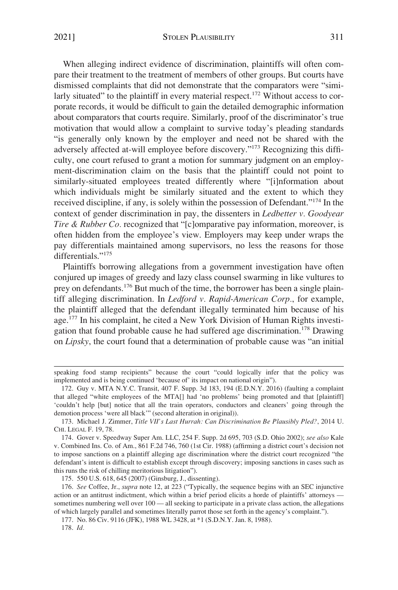When alleging indirect evidence of discrimination, plaintiffs will often compare their treatment to the treatment of members of other groups. But courts have dismissed complaints that did not demonstrate that the comparators were "similarly situated" to the plaintiff in every material respect.<sup>172</sup> Without access to corporate records, it would be difficult to gain the detailed demographic information about comparators that courts require. Similarly, proof of the discriminator's true motivation that would allow a complaint to survive today's pleading standards "is generally only known by the employer and need not be shared with the adversely affected at-will employee before discovery."173 Recognizing this difficulty, one court refused to grant a motion for summary judgment on an employment-discrimination claim on the basis that the plaintiff could not point to similarly-situated employees treated differently where "[i]nformation about which individuals might be similarly situated and the extent to which they received discipline, if any, is solely within the possession of Defendant."174 In the context of gender discrimination in pay, the dissenters in *Ledbetter v. Goodyear Tire & Rubber Co.* recognized that "[c]omparative pay information, moreover, is often hidden from the employee's view. Employers may keep under wraps the pay differentials maintained among supervisors, no less the reasons for those differentials."<sup>175</sup>

Plaintiffs borrowing allegations from a government investigation have often conjured up images of greedy and lazy class counsel swarming in like vultures to prey on defendants.176 But much of the time, the borrower has been a single plaintiff alleging discrimination. In *Ledford v. Rapid-American Corp.*, for example, the plaintiff alleged that the defendant illegally terminated him because of his age.177 In his complaint, he cited a New York Division of Human Rights investigation that found probable cause he had suffered age discrimination.178 Drawing on *Lipsky*, the court found that a determination of probable cause was "an initial

177. No. 86 Civ. 9116 (JFK), 1988 WL 3428, at \*1 (S.D.N.Y. Jan. 8, 1988).

178. *Id.* 

speaking food stamp recipients" because the court "could logically infer that the policy was implemented and is being continued 'because of' its impact on national origin").

<sup>172.</sup> Guy v. MTA N.Y.C. Transit, 407 F. Supp. 3d 183, 194 (E.D.N.Y. 2016) (faulting a complaint that alleged "white employees of the MTA[] had 'no problems' being promoted and that [plaintiff] 'couldn't help [but] notice that all the train operators, conductors and cleaners' going through the demotion process 'were all black'" (second alteration in original)).

<sup>173.</sup> Michael J. Zimmer, *Title VII's Last Hurrah: Can Discrimination Be Plausibly Pled?*, 2014 U. CHI. LEGAL F. 19, 78.

<sup>174.</sup> Gover v. Speedway Super Am. LLC, 254 F. Supp. 2d 695, 703 (S.D. Ohio 2002); *see also* Kale v. Combined Ins. Co. of Am., 861 F.2d 746, 760 (1st Cir. 1988) (affirming a district court's decision not to impose sanctions on a plaintiff alleging age discrimination where the district court recognized "the defendant's intent is difficult to establish except through discovery; imposing sanctions in cases such as this runs the risk of chilling meritorious litigation").

<sup>175. 550</sup> U.S. 618, 645 (2007) (Ginsburg, J., dissenting).

<sup>176.</sup> *See* Coffee, Jr., *supra* note 12, at 223 ("Typically, the sequence begins with an SEC injunctive action or an antitrust indictment, which within a brief period elicits a horde of plaintiffs' attorneys sometimes numbering well over  $100$  — all seeking to participate in a private class action, the allegations of which largely parallel and sometimes literally parrot those set forth in the agency's complaint.").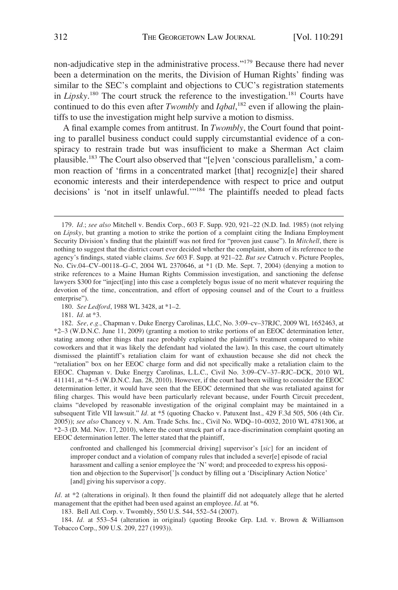non-adjudicative step in the administrative process."179 Because there had never been a determination on the merits, the Division of Human Rights' finding was similar to the SEC's complaint and objections to CUC's registration statements in *Lipsky*.<sup>180</sup> The court struck the reference to the investigation.<sup>181</sup> Courts have continued to do this even after *Twombly* and *Iqbal*, 182 even if allowing the plaintiffs to use the investigation might help survive a motion to dismiss.

A final example comes from antitrust. In *Twombly*, the Court found that pointing to parallel business conduct could supply circumstantial evidence of a conspiracy to restrain trade but was insufficient to make a Sherman Act claim plausible.183 The Court also observed that "[e]ven 'conscious parallelism,' a common reaction of 'firms in a concentrated market [that] recogniz[e] their shared economic interests and their interdependence with respect to price and output decisions' is 'not in itself unlawful."<sup>184</sup> The plaintiffs needed to plead facts

<sup>179.</sup> *Id.*; *see also* Mitchell v. Bendix Corp., 603 F. Supp. 920, 921–22 (N.D. Ind. 1985) (not relying on *Lipsky*, but granting a motion to strike the portion of a complaint citing the Indiana Employment Security Division's finding that the plaintiff was not fired for "proven just cause"). In *Mitchell*, there is nothing to suggest that the district court ever decided whether the complaint, shorn of its reference to the agency's findings, stated viable claims. *See* 603 F. Supp. at 921–22. *But see* Catruch v. Picture Peoples, No. Civ.04–CV–00118–G–C, 2004 WL 2370646, at \*1 (D. Me. Sept. 7, 2004) (denying a motion to strike references to a Maine Human Rights Commission investigation, and sanctioning the defense lawyers \$300 for "inject[ing] into this case a completely bogus issue of no merit whatever requiring the devotion of the time, concentration, and effort of opposing counsel and of the Court to a fruitless enterprise").

<sup>180.</sup> *See Ledford*, 1988 WL 3428, at \*1–2.

<sup>181.</sup> *Id.* at \*3.

<sup>182.</sup> *See, e.g.*, Chapman v. Duke Energy Carolinas, LLC, No. 3:09–cv–37RJC, 2009 WL 1652463, at \*2–3 (W.D.N.C. June 11, 2009) (granting a motion to strike portions of an EEOC determination letter, stating among other things that race probably explained the plaintiff's treatment compared to white coworkers and that it was likely the defendant had violated the law). In this case, the court ultimately dismissed the plaintiff's retaliation claim for want of exhaustion because she did not check the "retaliation" box on her EEOC charge form and did not specifically make a retaliation claim to the EEOC. Chapman v. Duke Energy Carolinas, L.L.C., Civil No. 3:09–CV–37–RJC–DCK, 2010 WL 411141, at \*4–5 (W.D.N.C. Jan. 28, 2010). However, if the court had been willing to consider the EEOC determination letter, it would have seen that the EEOC determined that she was retaliated against for filing charges. This would have been particularly relevant because, under Fourth Circuit precedent, claims "developed by reasonable investigation of the original complaint may be maintained in a subsequent Title VII lawsuit." *Id.* at \*5 (quoting Chacko v. Patuxent Inst., 429 F.3d 505, 506 (4th Cir. 2005)); *see also* Chancey v. N. Am. Trade Schs. Inc., Civil No. WDQ–10–0032, 2010 WL 4781306, at \*2–3 (D. Md. Nov. 17, 2010), where the court struck part of a race-discrimination complaint quoting an EEOC determination letter. The letter stated that the plaintiff,

confronted and challenged his [commercial driving] supervisor's [*sic*] for an incident of improper conduct and a violation of company rules that included a sever[e] episode of racial harassment and calling a senior employee the 'N' word; and proceeded to express his opposition and objection to the Supervisor[']s conduct by filling out a 'Disciplinary Action Notice' [and] giving his supervisor a copy.

*Id*. at \*2 (alterations in original). It then found the plaintiff did not adequately allege that he alerted management that the epithet had been used against an employee. *Id*. at \*6.

<sup>183.</sup> Bell Atl. Corp. v. Twombly, 550 U.S. 544, 552–54 (2007).

<sup>184.</sup> *Id.* at 553–54 (alteration in original) (quoting Brooke Grp. Ltd. v. Brown & Williamson Tobacco Corp., 509 U.S. 209, 227 (1993)).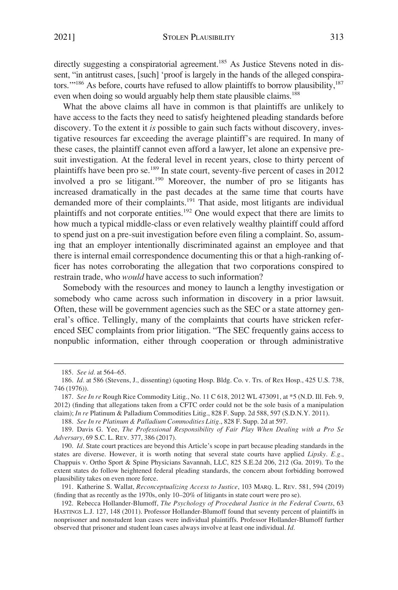directly suggesting a conspiratorial agreement.<sup>185</sup> As Justice Stevens noted in dissent, "in antitrust cases, [such] 'proof is largely in the hands of the alleged conspirators."<sup>186</sup> As before, courts have refused to allow plaintiffs to borrow plausibility,<sup>187</sup> even when doing so would arguably help them state plausible claims.<sup>188</sup>

What the above claims all have in common is that plaintiffs are unlikely to have access to the facts they need to satisfy heightened pleading standards before discovery. To the extent it *is* possible to gain such facts without discovery, investigative resources far exceeding the average plaintiff's are required. In many of these cases, the plaintiff cannot even afford a lawyer, let alone an expensive presuit investigation. At the federal level in recent years, close to thirty percent of plaintiffs have been pro se.189 In state court, seventy-five percent of cases in 2012 involved a pro se litigant.190 Moreover, the number of pro se litigants has increased dramatically in the past decades at the same time that courts have demanded more of their complaints.<sup>191</sup> That aside, most litigants are individual plaintiffs and not corporate entities.192 One would expect that there are limits to how much a typical middle-class or even relatively wealthy plaintiff could afford to spend just on a pre-suit investigation before even filing a complaint. So, assuming that an employer intentionally discriminated against an employee and that there is internal email correspondence documenting this or that a high-ranking officer has notes corroborating the allegation that two corporations conspired to restrain trade, who *would* have access to such information?

Somebody with the resources and money to launch a lengthy investigation or somebody who came across such information in discovery in a prior lawsuit. Often, these will be government agencies such as the SEC or a state attorney general's office. Tellingly, many of the complaints that courts have stricken referenced SEC complaints from prior litigation. "The SEC frequently gains access to nonpublic information, either through cooperation or through administrative

<sup>185.</sup> *See id.* at 564–65.

<sup>186.</sup> *Id.* at 586 (Stevens, J., dissenting) (quoting Hosp. Bldg. Co. v. Trs. of Rex Hosp., 425 U.S. 738, 746 (1976)).

<sup>187.</sup> *See In re* Rough Rice Commodity Litig., No. 11 C 618, 2012 WL 473091, at \*5 (N.D. Ill. Feb. 9, 2012) (finding that allegations taken from a CFTC order could not be the sole basis of a manipulation claim); *In re* Platinum & Palladium Commodities Litig., 828 F. Supp. 2d 588, 597 (S.D.N.Y. 2011).

<sup>188.</sup> *See In re Platinum & Palladium Commodities Litig.*, 828 F. Supp. 2d at 597.

<sup>189.</sup> Davis G. Yee, *The Professional Responsibility of Fair Play When Dealing with a Pro Se Adversary*, 69 S.C. L. REV. 377, 386 (2017).

<sup>190.</sup> *Id.* State court practices are beyond this Article's scope in part because pleading standards in the states are diverse. However, it is worth noting that several state courts have applied *Lipsky*. *E.g.*, Chappuis v. Ortho Sport & Spine Physicians Savannah, LLC, 825 S.E.2d 206, 212 (Ga. 2019). To the extent states do follow heightened federal pleading standards, the concern about forbidding borrowed plausibility takes on even more force.

<sup>191.</sup> Katherine S. Wallat, *Reconceptualizing Access to Justice*, 103 MARQ. L. REV. 581, 594 (2019) (finding that as recently as the 1970s, only 10–20% of litigants in state court were pro se).

<sup>192.</sup> Rebecca Hollander-Blumoff, *The Psychology of Procedural Justice in the Federal Courts*, 63 HASTINGS L.J. 127, 148 (2011). Professor Hollander-Blumoff found that seventy percent of plaintiffs in nonprisoner and nonstudent loan cases were individual plaintiffs. Professor Hollander-Blumoff further observed that prisoner and student loan cases always involve at least one individual. *Id.*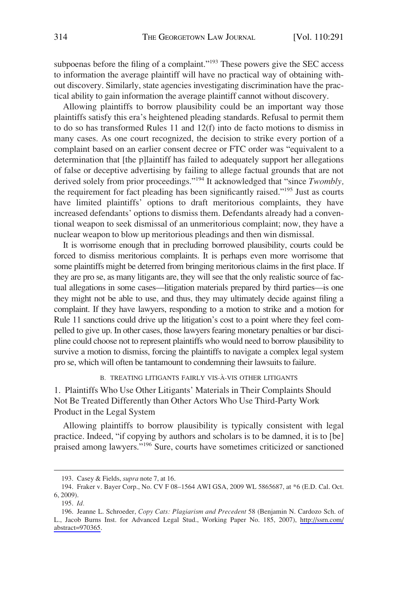<span id="page-23-0"></span>subpoenas before the filing of a complaint."<sup>193</sup> These powers give the SEC access to information the average plaintiff will have no practical way of obtaining without discovery. Similarly, state agencies investigating discrimination have the practical ability to gain information the average plaintiff cannot without discovery.

Allowing plaintiffs to borrow plausibility could be an important way those plaintiffs satisfy this era's heightened pleading standards. Refusal to permit them to do so has transformed Rules 11 and 12(f) into de facto motions to dismiss in many cases. As one court recognized, the decision to strike every portion of a complaint based on an earlier consent decree or FTC order was "equivalent to a determination that [the p]laintiff has failed to adequately support her allegations of false or deceptive advertising by failing to allege factual grounds that are not derived solely from prior proceedings."194 It acknowledged that "since *Twombly,*  the requirement for fact pleading has been significantly raised."195 Just as courts have limited plaintiffs' options to draft meritorious complaints, they have increased defendants' options to dismiss them. Defendants already had a conventional weapon to seek dismissal of an unmeritorious complaint; now, they have a nuclear weapon to blow up meritorious pleadings and then win dismissal.

It is worrisome enough that in precluding borrowed plausibility, courts could be forced to dismiss meritorious complaints. It is perhaps even more worrisome that some plaintiffs might be deterred from bringing meritorious claims in the first place. If they are pro se, as many litigants are, they will see that the only realistic source of factual allegations in some cases—litigation materials prepared by third parties—is one they might not be able to use, and thus, they may ultimately decide against filing a complaint. If they have lawyers, responding to a motion to strike and a motion for Rule 11 sanctions could drive up the litigation's cost to a point where they feel compelled to give up. In other cases, those lawyers fearing monetary penalties or bar discipline could choose not to represent plaintiffs who would need to borrow plausibility to survive a motion to dismiss, forcing the plaintiffs to navigate a complex legal system pro se, which will often be tantamount to condemning their lawsuits to failure.

# B. TREATING LITIGANTS FAIRLY VIS-À-VIS OTHER LITIGANTS

1. Plaintiffs Who Use Other Litigants' Materials in Their Complaints Should Not Be Treated Differently than Other Actors Who Use Third-Party Work Product in the Legal System

Allowing plaintiffs to borrow plausibility is typically consistent with legal practice. Indeed, "if copying by authors and scholars is to be damned, it is to [be] praised among lawyers."<sup>196</sup> Sure, courts have sometimes criticized or sanctioned

<sup>193.</sup> Casey & Fields, *supra* note 7, at 16.

<sup>194.</sup> Fraker v. Bayer Corp., No. CV F 08–1564 AWI GSA, 2009 WL 5865687, at \*6 (E.D. Cal. Oct. 6, 2009).

<sup>195.</sup> *Id.* 

<sup>196.</sup> Jeanne L. Schroeder, Copy Cats: Plagiarism and Precedent 58 (Benjamin N. Cardozo Sch. of L., Jacob Burns Inst. for Advanced Legal Stud., Working Paper No. 185, 2007), [http://ssrn.com/](http://ssrn.com/abstract=970365)  [abstract=970365.](http://ssrn.com/abstract=970365)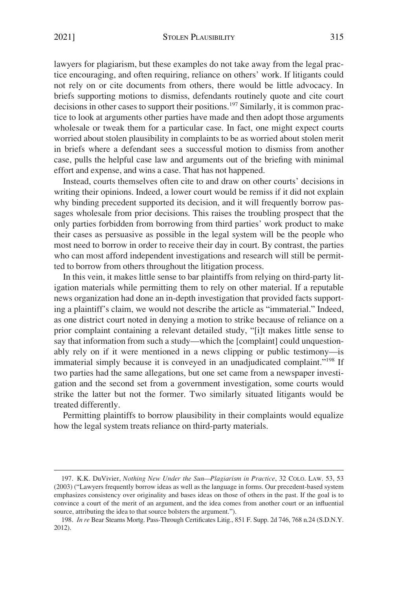lawyers for plagiarism, but these examples do not take away from the legal practice encouraging, and often requiring, reliance on others' work. If litigants could not rely on or cite documents from others, there would be little advocacy. In briefs supporting motions to dismiss, defendants routinely quote and cite court decisions in other cases to support their positions.197 Similarly, it is common practice to look at arguments other parties have made and then adopt those arguments wholesale or tweak them for a particular case. In fact, one might expect courts worried about stolen plausibility in complaints to be as worried about stolen merit in briefs where a defendant sees a successful motion to dismiss from another case, pulls the helpful case law and arguments out of the briefing with minimal effort and expense, and wins a case. That has not happened.

Instead, courts themselves often cite to and draw on other courts' decisions in writing their opinions. Indeed, a lower court would be remiss if it did not explain why binding precedent supported its decision, and it will frequently borrow passages wholesale from prior decisions. This raises the troubling prospect that the only parties forbidden from borrowing from third parties' work product to make their cases as persuasive as possible in the legal system will be the people who most need to borrow in order to receive their day in court. By contrast, the parties who can most afford independent investigations and research will still be permitted to borrow from others throughout the litigation process.

In this vein, it makes little sense to bar plaintiffs from relying on third-party litigation materials while permitting them to rely on other material. If a reputable news organization had done an in-depth investigation that provided facts supporting a plaintiff's claim, we would not describe the article as "immaterial." Indeed, as one district court noted in denying a motion to strike because of reliance on a prior complaint containing a relevant detailed study, "[i]t makes little sense to say that information from such a study—which the [complaint] could unquestionably rely on if it were mentioned in a news clipping or public testimony—is immaterial simply because it is conveyed in an unadjudicated complaint."<sup>198</sup> If two parties had the same allegations, but one set came from a newspaper investigation and the second set from a government investigation, some courts would strike the latter but not the former. Two similarly situated litigants would be treated differently.

Permitting plaintiffs to borrow plausibility in their complaints would equalize how the legal system treats reliance on third-party materials.

<sup>197.</sup> K.K. DuVivier, *Nothing New Under the Sun—Plagiarism in Practice*, 32 COLO. LAW. 53, 53 (2003) ("Lawyers frequently borrow ideas as well as the language in forms. Our precedent-based system emphasizes consistency over originality and bases ideas on those of others in the past. If the goal is to convince a court of the merit of an argument, and the idea comes from another court or an influential source, attributing the idea to that source bolsters the argument.").

<sup>198.</sup> *In re* Bear Stearns Mortg. Pass-Through Certificates Litig., 851 F. Supp. 2d 746, 768 n.24 (S.D.N.Y. 2012).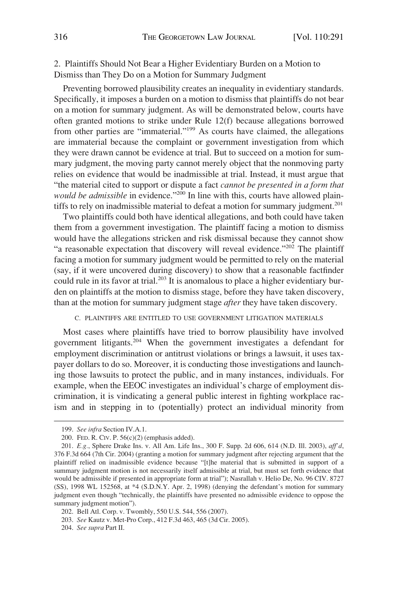# <span id="page-25-0"></span>2. Plaintiffs Should Not Bear a Higher Evidentiary Burden on a Motion to Dismiss than They Do on a Motion for Summary Judgment

Preventing borrowed plausibility creates an inequality in evidentiary standards. Specifically, it imposes a burden on a motion to dismiss that plaintiffs do not bear on a motion for summary judgment. As will be demonstrated below, courts have often granted motions to strike under Rule 12(f) because allegations borrowed from other parties are "immaterial."199 As courts have claimed, the allegations are immaterial because the complaint or government investigation from which they were drawn cannot be evidence at trial. But to succeed on a motion for summary judgment, the moving party cannot merely object that the nonmoving party relies on evidence that would be inadmissible at trial. Instead, it must argue that "the material cited to support or dispute a fact *cannot be presented in a form that would be admissible* in evidence."<sup>200</sup> In line with this, courts have allowed plaintiffs to rely on inadmissible material to defeat a motion for summary judgment.<sup>201</sup>

Two plaintiffs could both have identical allegations, and both could have taken them from a government investigation. The plaintiff facing a motion to dismiss would have the allegations stricken and risk dismissal because they cannot show "a reasonable expectation that discovery will reveal evidence."<sup>202</sup> The plaintiff facing a motion for summary judgment would be permitted to rely on the material (say, if it were uncovered during discovery) to show that a reasonable factfinder could rule in its favor at trial.<sup>203</sup> It is anomalous to place a higher evidentiary burden on plaintiffs at the motion to dismiss stage, before they have taken discovery, than at the motion for summary judgment stage *after* they have taken discovery.

### C. PLAINTIFFS ARE ENTITLED TO USE GOVERNMENT LITIGATION MATERIALS

Most cases where plaintiffs have tried to borrow plausibility have involved government litigants.204 When the government investigates a defendant for employment discrimination or antitrust violations or brings a lawsuit, it uses taxpayer dollars to do so. Moreover, it is conducting those investigations and launching those lawsuits to protect the public, and in many instances, individuals. For example, when the EEOC investigates an individual's charge of employment discrimination, it is vindicating a general public interest in fighting workplace racism and in stepping in to (potentially) protect an individual minority from

<sup>199.</sup> *See infra* Section IV.A.1.

<sup>200.</sup> FED. R. CIV. P. 56(c)(2) (emphasis added).

<sup>201.</sup> *E.g.*, Sphere Drake Ins. v. All Am. Life Ins., 300 F. Supp. 2d 606, 614 (N.D. Ill. 2003), *aff'd*, 376 F.3d 664 (7th Cir. 2004) (granting a motion for summary judgment after rejecting argument that the plaintiff relied on inadmissible evidence because "[t]he material that is submitted in support of a summary judgment motion is not necessarily itself admissible at trial, but must set forth evidence that would be admissible if presented in appropriate form at trial"); Nasrallah v. Helio De, No. 96 CIV. 8727 (SS), 1998 WL 152568, at \*4 (S.D.N.Y. Apr. 2, 1998) (denying the defendant's motion for summary judgment even though "technically, the plaintiffs have presented no admissible evidence to oppose the summary judgment motion").

<sup>202.</sup> Bell Atl. Corp. v. Twombly, 550 U.S. 544, 556 (2007).

<sup>203.</sup> *See* Kautz v. Met-Pro Corp., 412 F.3d 463, 465 (3d Cir. 2005).

<sup>204.</sup> *See supra* Part II.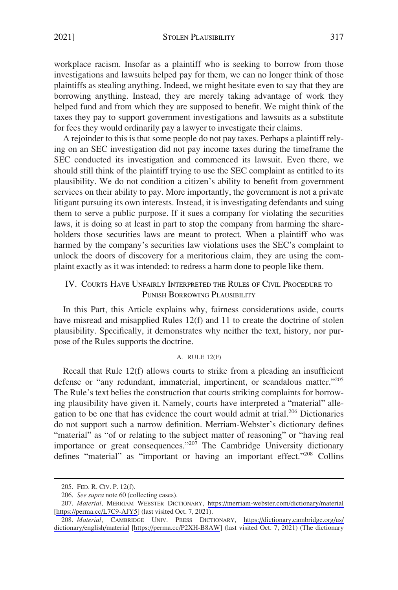<span id="page-26-0"></span>workplace racism. Insofar as a plaintiff who is seeking to borrow from those investigations and lawsuits helped pay for them, we can no longer think of those plaintiffs as stealing anything. Indeed, we might hesitate even to say that they are borrowing anything. Instead, they are merely taking advantage of work they helped fund and from which they are supposed to benefit. We might think of the taxes they pay to support government investigations and lawsuits as a substitute for fees they would ordinarily pay a lawyer to investigate their claims.

A rejoinder to this is that some people do not pay taxes. Perhaps a plaintiff relying on an SEC investigation did not pay income taxes during the timeframe the SEC conducted its investigation and commenced its lawsuit. Even there, we should still think of the plaintiff trying to use the SEC complaint as entitled to its plausibility. We do not condition a citizen's ability to benefit from government services on their ability to pay. More importantly, the government is not a private litigant pursuing its own interests. Instead, it is investigating defendants and suing them to serve a public purpose. If it sues a company for violating the securities laws, it is doing so at least in part to stop the company from harming the shareholders those securities laws are meant to protect. When a plaintiff who was harmed by the company's securities law violations uses the SEC's complaint to unlock the doors of discovery for a meritorious claim, they are using the complaint exactly as it was intended: to redress a harm done to people like them.

# IV. COURTS HAVE UNFAIRLY INTERPRETED THE RULES OF CIVIL PROCEDURE TO PUNISH BORROWING PLAUSIBILITY

In this Part, this Article explains why, fairness considerations aside, courts have misread and misapplied Rules 12(f) and 11 to create the doctrine of stolen plausibility. Specifically, it demonstrates why neither the text, history, nor purpose of the Rules supports the doctrine.

### A. RULE 12(F)

Recall that Rule 12(f) allows courts to strike from a pleading an insufficient defense or "any redundant, immaterial, impertinent, or scandalous matter."<sup>205</sup> The Rule's text belies the construction that courts striking complaints for borrowing plausibility have given it. Namely, courts have interpreted a "material" allegation to be one that has evidence the court would admit at trial.<sup>206</sup> Dictionaries do not support such a narrow definition. Merriam-Webster's dictionary defines "material" as "of or relating to the subject matter of reasoning" or "having real importance or great consequences."<sup>207</sup> The Cambridge University dictionary defines "material" as "important or having an important effect."<sup>208</sup> Collins

<sup>205.</sup> FED. R. CIV. P. 12(f).

<sup>206.</sup> *See supra* note 60 (collecting cases).

*Material*, MERRIAM WEBSTER DICTIONARY, <https://merriam-webster.com/dictionary/material> 207. [[https://perma.cc/L7C9-AJY5\]](https://perma.cc/L7C9-AJY5) (last visited Oct. 7, 2021).

*Material*, CAMBRIDGE UNIV. PRESS DICTIONARY, [https://dictionary.cambridge.org/us/](https://dictionary.cambridge.org/us/dictionary/english/material)  208. [dictionary/english/material](https://dictionary.cambridge.org/us/dictionary/english/material) [[https://perma.cc/P2XH-B8AW\]](https://perma.cc/P2XH-B8AW) (last visited Oct. 7, 2021) (The dictionary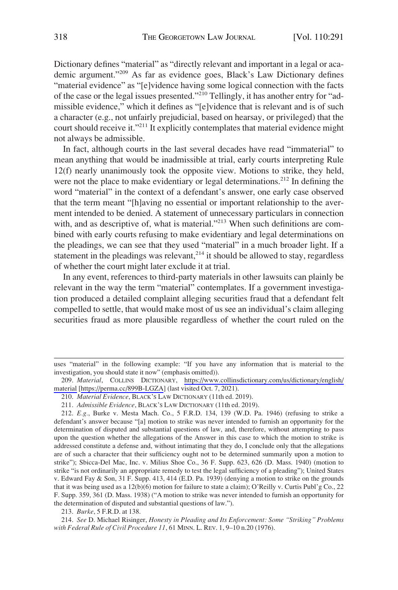Dictionary defines "material" as "directly relevant and important in a legal or academic argument."<sup>209</sup> As far as evidence goes, Black's Law Dictionary defines "material evidence" as "[e]vidence having some logical connection with the facts of the case or the legal issues presented."210 Tellingly, it has another entry for "admissible evidence," which it defines as "[e]vidence that is relevant and is of such a character (e.g., not unfairly prejudicial, based on hearsay, or privileged) that the court should receive it."<sup>211</sup> It explicitly contemplates that material evidence might not always be admissible.

In fact, although courts in the last several decades have read "immaterial" to mean anything that would be inadmissible at trial, early courts interpreting Rule 12(f) nearly unanimously took the opposite view. Motions to strike, they held, were not the place to make evidentiary or legal determinations.<sup>212</sup> In defining the word "material" in the context of a defendant's answer, one early case observed that the term meant "[h]aving no essential or important relationship to the averment intended to be denied. A statement of unnecessary particulars in connection with, and as descriptive of, what is material."<sup>213</sup> When such definitions are combined with early courts refusing to make evidentiary and legal determinations on the pleadings, we can see that they used "material" in a much broader light. If a statement in the pleadings was relevant, $2^{14}$  it should be allowed to stay, regardless of whether the court might later exclude it at trial.

In any event, references to third-party materials in other lawsuits can plainly be relevant in the way the term "material" contemplates. If a government investigation produced a detailed complaint alleging securities fraud that a defendant felt compelled to settle, that would make most of us see an individual's claim alleging securities fraud as more plausible regardless of whether the court ruled on the

213. *Burke*, 5 F.R.D. at 138.

214. *See* D. Michael Risinger, *Honesty in Pleading and Its Enforcement: Some "Striking" Problems with Federal Rule of Civil Procedure 11*, 61 MINN. L. REV. 1, 9–10 n.20 (1976).

uses "material" in the following example: "If you have any information that is material to the investigation, you should state it now" (emphasis omitted)).

*Material*, COLLINS DICTIONARY, [https://www.collinsdictionary.com/us/dictionary/english/](https://www.collinsdictionary.com/us/dictionary/english/material)  209. [material](https://www.collinsdictionary.com/us/dictionary/english/material) [[https://perma.cc/899B-LGZA\]](https://perma.cc/899B-LGZA) (last visited Oct. 7, 2021).

<sup>210.</sup> *Material Evidence*, BLACK'S LAW DICTIONARY (11th ed. 2019).

<sup>211.</sup> *Admissible Evidence*, BLACK'S LAW DICTIONARY (11th ed. 2019).

<sup>212.</sup> *E.g.*, Burke v. Mesta Mach. Co., 5 F.R.D. 134, 139 (W.D. Pa. 1946) (refusing to strike a defendant's answer because "[a] motion to strike was never intended to furnish an opportunity for the determination of disputed and substantial questions of law, and, therefore, without attempting to pass upon the question whether the allegations of the Answer in this case to which the motion to strike is addressed constitute a defense and, without intimating that they do, I conclude only that the allegations are of such a character that their sufficiency ought not to be determined summarily upon a motion to strike"); Sbicca-Del Mac, Inc. v. Milius Shoe Co., 36 F. Supp. 623, 626 (D. Mass. 1940) (motion to strike "is not ordinarily an appropriate remedy to test the legal sufficiency of a pleading"); United States v. Edward Fay & Son, 31 F. Supp. 413, 414 (E.D. Pa. 1939) (denying a motion to strike on the grounds that it was being used as a 12(b)(6) motion for failure to state a claim); O'Reilly v. Curtis Publ'g Co., 22 F. Supp. 359, 361 (D. Mass. 1938) ("A motion to strike was never intended to furnish an opportunity for the determination of disputed and substantial questions of law.").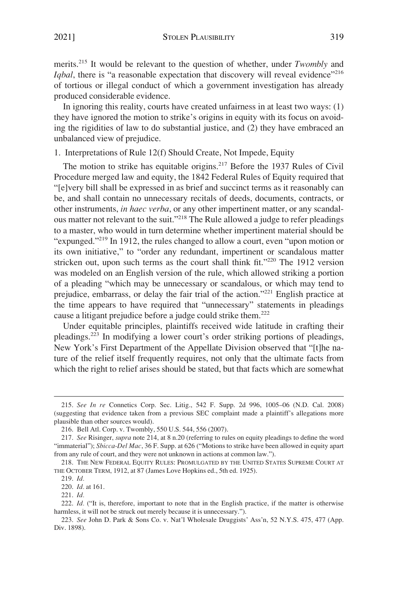<span id="page-28-0"></span>merits.215 It would be relevant to the question of whether, under *Twombly* and *Iqbal*, there is "a reasonable expectation that discovery will reveal evidence"<sup>216</sup> of tortious or illegal conduct of which a government investigation has already produced considerable evidence.

In ignoring this reality, courts have created unfairness in at least two ways: (1) they have ignored the motion to strike's origins in equity with its focus on avoiding the rigidities of law to do substantial justice, and (2) they have embraced an unbalanced view of prejudice.

### 1. Interpretations of Rule 12(f) Should Create, Not Impede, Equity

The motion to strike has equitable origins.<sup>217</sup> Before the 1937 Rules of Civil Procedure merged law and equity, the 1842 Federal Rules of Equity required that "[e]very bill shall be expressed in as brief and succinct terms as it reasonably can be, and shall contain no unnecessary recitals of deeds, documents, contracts, or other instruments, *in haec verba*, or any other impertinent matter, or any scandalous matter not relevant to the suit."218 The Rule allowed a judge to refer pleadings to a master, who would in turn determine whether impertinent material should be "expunged."219 In 1912, the rules changed to allow a court, even "upon motion or its own initiative," to "order any redundant, impertinent or scandalous matter stricken out, upon such terms as the court shall think fit."<sup>220</sup> The 1912 version was modeled on an English version of the rule, which allowed striking a portion of a pleading "which may be unnecessary or scandalous, or which may tend to prejudice, embarrass, or delay the fair trial of the action."221 English practice at the time appears to have required that "unnecessary" statements in pleadings cause a litigant prejudice before a judge could strike them.222

Under equitable principles, plaintiffs received wide latitude in crafting their pleadings.<sup>223</sup> In modifying a lower court's order striking portions of pleadings, New York's First Department of the Appellate Division observed that "[t]he nature of the relief itself frequently requires, not only that the ultimate facts from which the right to relief arises should be stated, but that facts which are somewhat

<sup>215.</sup> *See In re* Connetics Corp. Sec. Litig., 542 F. Supp. 2d 996, 1005–06 (N.D. Cal. 2008) (suggesting that evidence taken from a previous SEC complaint made a plaintiff's allegations more plausible than other sources would).

<sup>216.</sup> Bell Atl. Corp. v. Twombly, 550 U.S. 544, 556 (2007).

<sup>217.</sup> *See* Risinger, *supra* note 214, at 8 n.20 (referring to rules on equity pleadings to define the word "immaterial"); *Sbicca-Del Mac*, 36 F. Supp. at 626 ("Motions to strike have been allowed in equity apart from any rule of court, and they were not unknown in actions at common law.").

<sup>218.</sup> THE NEW FEDERAL EQUITY RULES: PROMULGATED BY THE UNITED STATES SUPREME COURT AT THE OCTOBER TERM, 1912, at 87 (James Love Hopkins ed., 5th ed. 1925).

<sup>219.</sup> *Id.* 

<sup>220.</sup> *Id.* at 161.

<sup>221.</sup> *Id.* 

<sup>222.</sup> *Id.* ("It is, therefore, important to note that in the English practice, if the matter is otherwise harmless, it will not be struck out merely because it is unnecessary.").

<sup>223.</sup> *See* John D. Park & Sons Co. v. Nat'l Wholesale Druggists' Ass'n, 52 N.Y.S. 475, 477 (App. Div. 1898).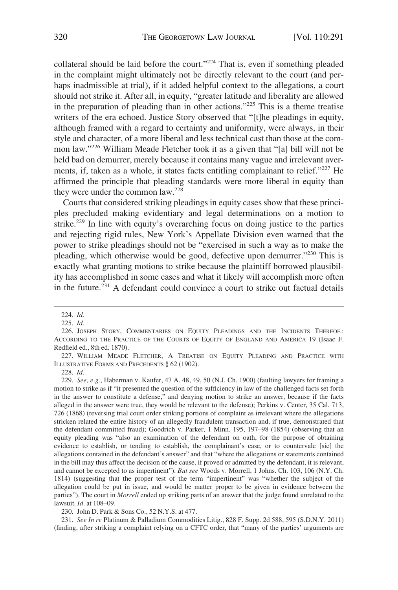collateral should be laid before the court."224 That is, even if something pleaded in the complaint might ultimately not be directly relevant to the court (and perhaps inadmissible at trial), if it added helpful context to the allegations, a court should not strike it. After all, in equity, "greater latitude and liberality are allowed in the preparation of pleading than in other actions."225 This is a theme treatise writers of the era echoed. Justice Story observed that "[t]he pleadings in equity, although framed with a regard to certainty and uniformity, were always, in their style and character, of a more liberal and less technical cast than those at the common law."226 William Meade Fletcher took it as a given that "[a] bill will not be held bad on demurrer, merely because it contains many vague and irrelevant averments, if, taken as a whole, it states facts entitling complainant to relief."227 He affirmed the principle that pleading standards were more liberal in equity than they were under the common law.228

Courts that considered striking pleadings in equity cases show that these principles precluded making evidentiary and legal determinations on a motion to strike.<sup>229</sup> In line with equity's overarching focus on doing justice to the parties and rejecting rigid rules, New York's Appellate Division even warned that the power to strike pleadings should not be "exercised in such a way as to make the pleading, which otherwise would be good, defective upon demurrer."<sup>230</sup> This is exactly what granting motions to strike because the plaintiff borrowed plausibility has accomplished in some cases and what it likely will accomplish more often in the future.<sup> $231$ </sup> A defendant could convince a court to strike out factual details

228. *Id.* 

229. *See, e.g.*, Haberman v. Kaufer, 47 A. 48, 49, 50 (N.J. Ch. 1900) (faulting lawyers for framing a motion to strike as if "it presented the question of the sufficiency in law of the challenged facts set forth in the answer to constitute a defense," and denying motion to strike an answer, because if the facts alleged in the answer were true, they would be relevant to the defense); Perkins v. Center, 35 Cal. 713, 726 (1868) (reversing trial court order striking portions of complaint as irrelevant where the allegations stricken related the entire history of an allegedly fraudulent transaction and, if true, demonstrated that the defendant committed fraud); Goodrich v. Parker, 1 Minn. 195, 197–98 (1854) (observing that an equity pleading was "also an examination of the defendant on oath, for the purpose of obtaining evidence to establish, or tending to establish, the complainant's case, or to countervale [sic] the allegations contained in the defendant's answer" and that "where the allegations or statements contained in the bill may thus affect the decision of the cause, if proved or admitted by the defendant, it is relevant, and cannot be excepted to as impertinent"). *But see* Woods v. Morrell, 1 Johns. Ch. 103, 106 (N.Y. Ch. 1814) (suggesting that the proper test of the term "impertinent" was "whether the subject of the allegation could be put in issue, and would be matter proper to be given in evidence between the parties"). The court in *Morrell* ended up striking parts of an answer that the judge found unrelated to the lawsuit. *Id.* at 108–09.

230. John D. Park & Sons Co., 52 N.Y.S. at 477.

231. *See In re* Platinum & Palladium Commodities Litig., 828 F. Supp. 2d 588, 595 (S.D.N.Y. 2011) (finding, after striking a complaint relying on a CFTC order, that "many of the parties' arguments are

<sup>224.</sup> *Id.* 

<sup>225.</sup> *Id.* 

<sup>226.</sup> JOSEPH STORY, COMMENTARIES ON EQUITY PLEADINGS AND THE INCIDENTS THEREOF.: ACCORDING TO THE PRACTICE OF THE COURTS OF EQUITY OF ENGLAND AND AMERICA 19 (Isaac F. Redfield ed., 8th ed. 1870).

<sup>227.</sup> WILLIAM MEADE FLETCHER, A TREATISE ON EQUITY PLEADING AND PRACTICE WITH ILLUSTRATIVE FORMS AND PRECEDENTS § 62 (1902).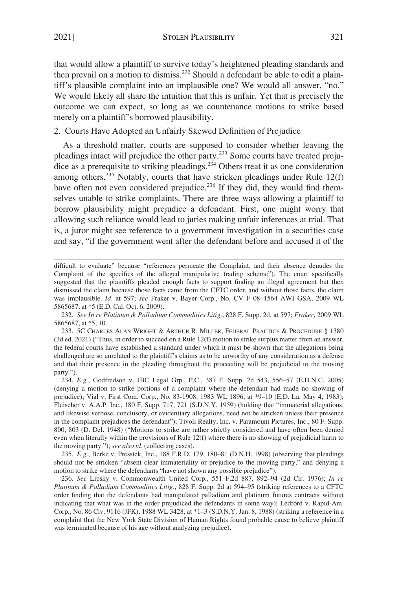<span id="page-30-0"></span>2021] STOLEN PLAUSIBILITY 321

that would allow a plaintiff to survive today's heightened pleading standards and then prevail on a motion to dismiss.<sup>232</sup> Should a defendant be able to edit a plaintiff's plausible complaint into an implausible one? We would all answer, "no." We would likely all share the intuition that this is unfair. Yet that is precisely the outcome we can expect, so long as we countenance motions to strike based merely on a plaintiff's borrowed plausibility.

# 2. Courts Have Adopted an Unfairly Skewed Definition of Prejudice

As a threshold matter, courts are supposed to consider whether leaving the pleadings intact will prejudice the other party.233 Some courts have treated prejudice as a prerequisite to striking pleadings.<sup>234</sup> Others treat it as one consideration among others.<sup>235</sup> Notably, courts that have stricken pleadings under Rule  $12(f)$ have often not even considered prejudice.<sup>236</sup> If they did, they would find themselves unable to strike complaints. There are three ways allowing a plaintiff to borrow plausibility might prejudice a defendant. First, one might worry that allowing such reliance would lead to juries making unfair inferences at trial. That is, a juror might see reference to a government investigation in a securities case and say, "if the government went after the defendant before and accused it of the

235. *E.g.*, Berke v. Presstek, Inc., 188 F.R.D. 179, 180–81 (D.N.H. 1998) (observing that pleadings should not be stricken "absent clear immateriality or prejudice to the moving party," and denying a motion to strike where the defendants "have not shown any possible prejudice").

difficult to evaluate" because "references permeate the Complaint, and their absence denudes the Complaint of the specifics of the alleged manipulative trading scheme"). The court specifically suggested that the plaintiffs pleaded enough facts to support finding an illegal agreement but then dismissed the claim because those facts came from the CFTC order, and without those facts, the claim was implausible. *Id.* at 597; *see* Fraker v. Bayer Corp., No. CV F 08–1564 AWI GSA, 2009 WL 5865687, at \*5 (E.D. Cal. Oct. 6, 2009).

<sup>232.</sup> *See In re Platinum & Palladium Commodities Litig.*, 828 F. Supp. 2d. at 597; *Fraker*, 2009 WL 5865687, at \*5, 10.

<sup>233. 5</sup>C CHARLES ALAN WRIGHT & ARTHUR R. MILLER, FEDERAL PRACTICE & PROCEDURE § 1380 (3d ed. 2021) ("Thus, in order to succeed on a Rule 12(f) motion to strike surplus matter from an answer, the federal courts have established a standard under which it must be shown that the allegations being challenged are so unrelated to the plaintiff's claims as to be unworthy of any consideration as a defense and that their presence in the pleading throughout the proceeding will be prejudicial to the moving party.").

<sup>234.</sup> *E.g.*, Godfredson v. JBC Legal Grp., P.C., 387 F. Supp. 2d 543, 556–57 (E.D.N.C. 2005) (denying a motion to strike portions of a complaint where the defendant had made no showing of prejudice); Vial v. First Com. Corp., No. 83-1908, 1983 WL 1896, at \*9–10 (E.D. La. May 4, 1983); Fleischer v. A.A.P. Inc., 180 F. Supp. 717, 721 (S.D.N.Y. 1959) (holding that "immaterial allegations, and likewise verbose, conclusory, or evidentiary allegations, need not be stricken unless their presence in the complaint prejudices the defendant"); Tivoli Realty, Inc. v. Paramount Pictures, Inc., 80 F. Supp. 800, 803 (D. Del. 1948) ("Motions to strike are rather strictly considered and have often been denied even when literally within the provisions of Rule 12(f) where there is no showing of prejudicial harm to the moving party."); *see also id.* (collecting cases).

<sup>236.</sup> *See* Lipsky v. Commonwealth United Corp., 551 F.2d 887, 892–94 (2d Cir. 1976); *In re Platinum & Palladium Commodities Litig.*, 828 F. Supp. 2d at 594–95 (striking references to a CFTC order finding that the defendants had manipulated palladium and platinum futures contracts without indicating that what was in the order prejudiced the defendants in some way); Ledford v. Rapid-Am. Corp., No. 86 Civ. 9116 (JFK), 1988 WL 3428, at \*1–3 (S.D.N.Y. Jan. 8, 1988) (striking a reference in a complaint that the New York State Division of Human Rights found probable cause to believe plaintiff was terminated because of his age without analyzing prejudice).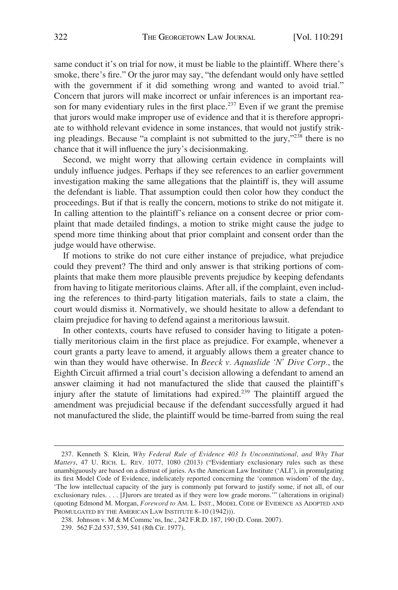same conduct it's on trial for now, it must be liable to the plaintiff. Where there's smoke, there's fire." Or the juror may say, "the defendant would only have settled with the government if it did something wrong and wanted to avoid trial." Concern that jurors will make incorrect or unfair inferences is an important reason for many evidentiary rules in the first place.<sup>237</sup> Even if we grant the premise that jurors would make improper use of evidence and that it is therefore appropriate to withhold relevant evidence in some instances, that would not justify striking pleadings. Because "a complaint is not submitted to the jury,"238 there is no chance that it will influence the jury's decisionmaking.

Second, we might worry that allowing certain evidence in complaints will unduly influence judges. Perhaps if they see references to an earlier government investigation making the same allegations that the plaintiff is, they will assume the defendant is liable. That assumption could then color how they conduct the proceedings. But if that is really the concern, motions to strike do not mitigate it. In calling attention to the plaintiff's reliance on a consent decree or prior complaint that made detailed findings, a motion to strike might cause the judge to spend more time thinking about that prior complaint and consent order than the judge would have otherwise.

If motions to strike do not cure either instance of prejudice, what prejudice could they prevent? The third and only answer is that striking portions of complaints that make them more plausible prevents prejudice by keeping defendants from having to litigate meritorious claims. After all, if the complaint, even including the references to third-party litigation materials, fails to state a claim, the court would dismiss it. Normatively, we should hesitate to allow a defendant to claim prejudice for having to defend against a meritorious lawsuit.

In other contexts, courts have refused to consider having to litigate a potentially meritorious claim in the first place as prejudice. For example, whenever a court grants a party leave to amend, it arguably allows them a greater chance to win than they would have otherwise. In *Beeck v. Aquaslide 'N' Dive Corp.*, the Eighth Circuit affirmed a trial court's decision allowing a defendant to amend an answer claiming it had not manufactured the slide that caused the plaintiff's injury after the statute of limitations had expired.<sup>239</sup> The plaintiff argued the amendment was prejudicial because if the defendant successfully argued it had not manufactured the slide, the plaintiff would be time-barred from suing the real

<sup>237.</sup> Kenneth S. Klein, *Why Federal Rule of Evidence 403 Is Unconstitutional, and Why That Matters*, 47 U. RICH. L. REV. 1077, 1080 (2013) ("Evidentiary exclusionary rules such as these unambiguously are based on a distrust of juries. As the American Law Institute ('ALI'), in promulgating its first Model Code of Evidence, indelicately reported concerning the 'common wisdom' of the day, 'The low intellectual capacity of the jury is commonly put forward to justify some, if not all, of our exclusionary rules. . . . [J]urors are treated as if they were low grade morons.'" (alterations in original) (quoting Edmond M. Morgan, *Foreword to* AM. L. INST., MODEL CODE OF EVIDENCE AS ADOPTED AND PROMULGATED BY THE AMERICAN LAW INSTITUTE 8-10 (1942))).

<sup>238.</sup> Johnson v. M & M Commc'ns, Inc., 242 F.R.D. 187, 190 (D. Conn. 2007).

<sup>239. 562</sup> F.2d 537, 539, 541 (8th Cir. 1977).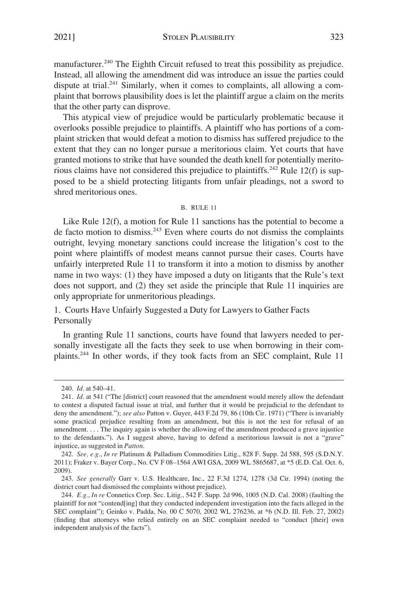<span id="page-32-0"></span>2021] STOLEN PLAUSIBILITY 323

manufacturer.<sup>240</sup> The Eighth Circuit refused to treat this possibility as prejudice. Instead, all allowing the amendment did was introduce an issue the parties could dispute at trial.<sup>241</sup> Similarly, when it comes to complaints, all allowing a complaint that borrows plausibility does is let the plaintiff argue a claim on the merits that the other party can disprove.

This atypical view of prejudice would be particularly problematic because it overlooks possible prejudice to plaintiffs. A plaintiff who has portions of a complaint stricken that would defeat a motion to dismiss has suffered prejudice to the extent that they can no longer pursue a meritorious claim. Yet courts that have granted motions to strike that have sounded the death knell for potentially meritorious claims have not considered this prejudice to plaintiffs.<sup>242</sup> Rule 12(f) is supposed to be a shield protecting litigants from unfair pleadings, not a sword to shred meritorious ones.

#### B. RULE 11

Like Rule 12(f), a motion for Rule 11 sanctions has the potential to become a de facto motion to dismiss.243 Even where courts do not dismiss the complaints outright, levying monetary sanctions could increase the litigation's cost to the point where plaintiffs of modest means cannot pursue their cases. Courts have unfairly interpreted Rule 11 to transform it into a motion to dismiss by another name in two ways: (1) they have imposed a duty on litigants that the Rule's text does not support, and (2) they set aside the principle that Rule 11 inquiries are only appropriate for unmeritorious pleadings.

# 1. Courts Have Unfairly Suggested a Duty for Lawyers to Gather Facts Personally

In granting Rule 11 sanctions, courts have found that lawyers needed to personally investigate all the facts they seek to use when borrowing in their complaints.244 In other words, if they took facts from an SEC complaint, Rule 11

<sup>240.</sup> *Id.* at 540–41.

<sup>241.</sup> *Id.* at 541 ("The [district] court reasoned that the amendment would merely allow the defendant to contest a disputed factual issue at trial, and further that it would be prejudicial to the defendant to deny the amendment."); *see also* Patton v. Guyer, 443 F.2d 79, 86 (10th Cir. 1971) ("There is invariably some practical prejudice resulting from an amendment, but this is not the test for refusal of an amendment. . . . The inquiry again is whether the allowing of the amendment produced a grave injustice to the defendants."). As I suggest above, having to defend a meritorious lawsuit is not a "grave" injustice, as suggested in *Patton*.

<sup>242.</sup> *See, e.g.*, *In re* Platinum & Palladium Commodities Litig., 828 F. Supp. 2d 588, 595 (S.D.N.Y. 2011); Fraker v. Bayer Corp., No. CV F 08–1564 AWI GSA, 2009 WL 5865687, at \*5 (E.D. Cal. Oct. 6, 2009).

<sup>243.</sup> *See generally* Garr v. U.S. Healthcare, Inc., 22 F.3d 1274, 1278 (3d Cir. 1994) (noting the district court had dismissed the complaints without prejudice).

<sup>244.</sup> *E.g.*, *In re* Connetics Corp. Sec. Litig., 542 F. Supp. 2d 996, 1005 (N.D. Cal. 2008) (faulting the plaintiff for not "contend[ing] that they conducted independent investigation into the facts alleged in the SEC complaint"); Geinko v. Padda, No. 00 C 5070, 2002 WL 276236, at \*6 (N.D. Ill. Feb. 27, 2002) (finding that attorneys who relied entirely on an SEC complaint needed to "conduct [their] own independent analysis of the facts").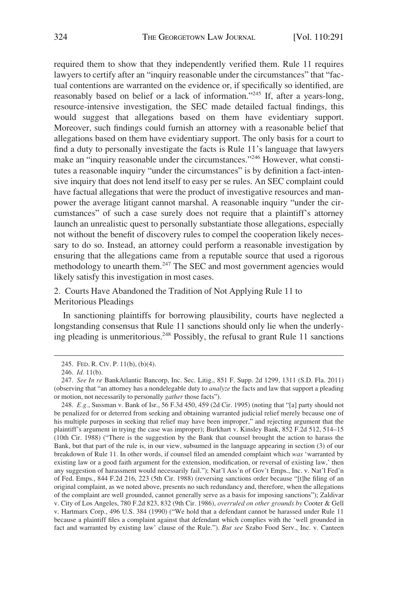<span id="page-33-0"></span>required them to show that they independently verified them. Rule 11 requires lawyers to certify after an "inquiry reasonable under the circumstances" that "factual contentions are warranted on the evidence or, if specifically so identified, are reasonably based on belief or a lack of information."245 If, after a years-long, resource-intensive investigation, the SEC made detailed factual findings, this would suggest that allegations based on them have evidentiary support. Moreover, such findings could furnish an attorney with a reasonable belief that allegations based on them have evidentiary support. The only basis for a court to find a duty to personally investigate the facts is Rule 11's language that lawyers make an "inquiry reasonable under the circumstances."<sup>246</sup> However, what constitutes a reasonable inquiry "under the circumstances" is by definition a fact-intensive inquiry that does not lend itself to easy per se rules. An SEC complaint could have factual allegations that were the product of investigative resources and manpower the average litigant cannot marshal. A reasonable inquiry "under the circumstances" of such a case surely does not require that a plaintiff's attorney launch an unrealistic quest to personally substantiate those allegations, especially not without the benefit of discovery rules to compel the cooperation likely necessary to do so. Instead, an attorney could perform a reasonable investigation by ensuring that the allegations came from a reputable source that used a rigorous methodology to unearth them.247 The SEC and most government agencies would likely satisfy this investigation in most cases.

2. Courts Have Abandoned the Tradition of Not Applying Rule 11 to Meritorious Pleadings

In sanctioning plaintiffs for borrowing plausibility, courts have neglected a longstanding consensus that Rule 11 sanctions should only lie when the underlying pleading is unmeritorious.248 Possibly, the refusal to grant Rule 11 sanctions

248. *E.g.*, Sussman v. Bank of Isr., 56 F.3d 450, 459 (2d Cir. 1995) (noting that "[a] party should not be penalized for or deterred from seeking and obtaining warranted judicial relief merely because one of his multiple purposes in seeking that relief may have been improper," and rejecting argument that the plaintiff's argument in trying the case was improper); Burkhart v. Kinsley Bank, 852 F.2d 512, 514–15 (10th Cir. 1988) ("There is the suggestion by the Bank that counsel brought the action to harass the Bank, but that part of the rule is, in our view, subsumed in the language appearing in section (3) of our breakdown of Rule 11. In other words, if counsel filed an amended complaint which *was* 'warranted by existing law or a good faith argument for the extension, modification, or reversal of existing law,' then any suggestion of harassment would necessarily fail."); Nat'l Ass'n of Gov't Emps., Inc. v. Nat'l Fed'n of Fed. Emps., 844 F.2d 216, 223 (5th Cir. 1988) (reversing sanctions order because "[t]he filing of an original complaint, as we noted above, presents no such redundancy and, therefore, when the allegations of the complaint are well grounded, cannot generally serve as a basis for imposing sanctions"); Zaldivar v. City of Los Angeles, 780 F.2d 823, 832 (9th Cir. 1986), *overruled on other grounds by* Cooter & Gell v. Hartmarx Corp., 496 U.S. 384 (1990) ("We hold that a defendant cannot be harassed under Rule 11 because a plaintiff files a complaint against that defendant which complies with the 'well grounded in fact and warranted by existing law' clause of the Rule."). *But see* Szabo Food Serv., Inc. v. Canteen

<sup>245.</sup> FED. R. CIV. P. 11(b), (b)(4).

<sup>246.</sup> *Id.* 11(b).

<sup>247.</sup> *See In re* BankAtlantic Bancorp, Inc. Sec. Litig., 851 F. Supp. 2d 1299, 1311 (S.D. Fla. 2011) (observing that "an attorney has a nondelegable duty to *analyze* the facts and law that support a pleading or motion, not necessarily to personally *gather* those facts").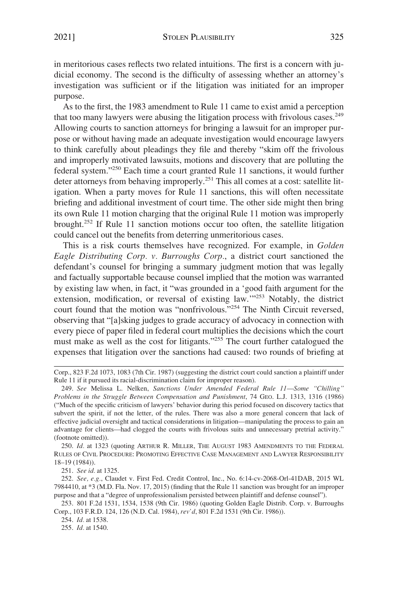in meritorious cases reflects two related intuitions. The first is a concern with judicial economy. The second is the difficulty of assessing whether an attorney's investigation was sufficient or if the litigation was initiated for an improper purpose.

As to the first, the 1983 amendment to Rule 11 came to exist amid a perception that too many lawyers were abusing the litigation process with frivolous cases.<sup>249</sup> Allowing courts to sanction attorneys for bringing a lawsuit for an improper purpose or without having made an adequate investigation would encourage lawyers to think carefully about pleadings they file and thereby "skim off the frivolous and improperly motivated lawsuits, motions and discovery that are polluting the federal system."250 Each time a court granted Rule 11 sanctions, it would further deter attorneys from behaving improperly.<sup>251</sup> This all comes at a cost: satellite litigation. When a party moves for Rule 11 sanctions, this will often necessitate briefing and additional investment of court time. The other side might then bring its own Rule 11 motion charging that the original Rule 11 motion was improperly brought.252 If Rule 11 sanction motions occur too often, the satellite litigation could cancel out the benefits from deterring unmeritorious cases.

This is a risk courts themselves have recognized. For example, in *Golden Eagle Distributing Corp. v. Burroughs Corp.*, a district court sanctioned the defendant's counsel for bringing a summary judgment motion that was legally and factually supportable because counsel implied that the motion was warranted by existing law when, in fact, it "was grounded in a 'good faith argument for the extension, modification, or reversal of existing law.'"253 Notably, the district court found that the motion was "nonfrivolous."254 The Ninth Circuit reversed, observing that "[a]sking judges to grade accuracy of advocacy in connection with every piece of paper filed in federal court multiplies the decisions which the court must make as well as the cost for litigants."255 The court further catalogued the expenses that litigation over the sanctions had caused: two rounds of briefing at

250. *Id.* at 1323 (quoting ARTHUR R. MILLER, THE AUGUST 1983 AMENDMENTS TO THE FEDERAL RULES OF CIVIL PROCEDURE: PROMOTING EFFECTIVE CASE MANAGEMENT AND LAWYER RESPONSIBILITY 18–19 (1984)).

251. *See id.* at 1325.

252. *See, e.g.*, Claudet v. First Fed. Credit Control, Inc., No. 6:14-cv-2068-Orl-41DAB, 2015 WL 7984410, at \*3 (M.D. Fla. Nov. 17, 2015) (finding that the Rule 11 sanction was brought for an improper purpose and that a "degree of unprofessionalism persisted between plaintiff and defense counsel").

253. 801 F.2d 1531, 1534, 1538 (9th Cir. 1986) (quoting Golden Eagle Distrib. Corp. v. Burroughs Corp., 103 F.R.D. 124, 126 (N.D. Cal. 1984), *rev'd*, 801 F.2d 1531 (9th Cir. 1986)).

254. *Id.* at 1538.

255. *Id.* at 1540.

Corp., 823 F.2d 1073, 1083 (7th Cir. 1987) (suggesting the district court could sanction a plaintiff under Rule 11 if it pursued its racial-discrimination claim for improper reason).

<sup>249.</sup> *See* Melissa L. Nelken, *Sanctions Under Amended Federal Rule 11*—*Some "Chilling" Problems in the Struggle Between Compensation and Punishment*, 74 GEO. L.J. 1313, 1316 (1986) ("Much of the specific criticism of lawyers' behavior during this period focused on discovery tactics that subvert the spirit, if not the letter, of the rules. There was also a more general concern that lack of effective judicial oversight and tactical considerations in litigation—manipulating the process to gain an advantage for clients—had clogged the courts with frivolous suits and unnecessary pretrial activity." (footnote omitted)).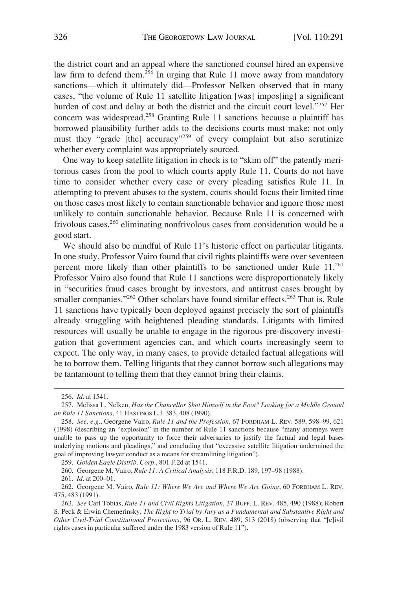the district court and an appeal where the sanctioned counsel hired an expensive law firm to defend them.<sup>256</sup> In urging that Rule 11 move away from mandatory sanctions—which it ultimately did—Professor Nelken observed that in many cases, "the volume of Rule 11 satellite litigation [was] impos[ing] a significant burden of cost and delay at both the district and the circuit court level."257 Her concern was widespread.258 Granting Rule 11 sanctions because a plaintiff has borrowed plausibility further adds to the decisions courts must make; not only must they "grade [the] accuracy"<sup>259</sup> of every complaint but also scrutinize whether every complaint was appropriately sourced.

One way to keep satellite litigation in check is to "skim off" the patently meritorious cases from the pool to which courts apply Rule 11. Courts do not have time to consider whether every case or every pleading satisfies Rule 11. In attempting to prevent abuses to the system, courts should focus their limited time on those cases most likely to contain sanctionable behavior and ignore those most unlikely to contain sanctionable behavior. Because Rule 11 is concerned with frivolous cases,<sup>260</sup> eliminating nonfrivolous cases from consideration would be a good start.

We should also be mindful of Rule 11's historic effect on particular litigants. In one study, Professor Vairo found that civil rights plaintiffs were over seventeen percent more likely than other plaintiffs to be sanctioned under Rule 11.<sup>261</sup> Professor Vairo also found that Rule 11 sanctions were disproportionately likely in "securities fraud cases brought by investors, and antitrust cases brought by smaller companies."<sup>262</sup> Other scholars have found similar effects.<sup>263</sup> That is, Rule 11 sanctions have typically been deployed against precisely the sort of plaintiffs already struggling with heightened pleading standards. Litigants with limited resources will usually be unable to engage in the rigorous pre-discovery investigation that government agencies can, and which courts increasingly seem to expect. The only way, in many cases, to provide detailed factual allegations will be to borrow them. Telling litigants that they cannot borrow such allegations may be tantamount to telling them that they cannot bring their claims.

261. *Id.* at 200–01.

<sup>256.</sup> *Id.* at 1541.

<sup>257.</sup> Melissa L. Nelken, *Has the Chancellor Shot Himself in the Foot? Looking for a Middle Ground on Rule 11 Sanctions*, 41 HASTINGS L.J. 383, 408 (1990).

<sup>258.</sup> *See, e.g.*, Georgene Vairo, *Rule 11 and the Profession*, 67 FORDHAM L. REV. 589, 598–99, 621 (1998) (describing an "explosion" in the number of Rule 11 sanctions because "many attorneys were unable to pass up the opportunity to force their adversaries to justify the factual and legal bases underlying motions and pleadings," and concluding that "excessive satellite litigation undermined the goal of improving lawyer conduct as a means for streamlining litigation").

<sup>259.</sup> *Golden Eagle Distrib. Corp.*, 801 F.2d at 1541.

<sup>260.</sup> Georgene M. Vairo, *Rule 11: A Critical Analysis*, 118 F.R.D. 189, 197–98 (1988).

<sup>262.</sup> Georgene M. Vairo, *Rule 11: Where We Are and Where We Are Going*, 60 FORDHAM L. REV. 475, 483 (1991).

<sup>263.</sup> *See* Carl Tobias, *Rule 11 and Civil Rights Litigation*, 37 BUFF. L. REV. 485, 490 (1988); Robert S. Peck & Erwin Chemerinsky, *The Right to Trial by Jury as a Fundamental and Substantive Right and Other Civil-Trial Constitutional Protections*, 96 OR. L. REV. 489, 513 (2018) (observing that "[c]ivil rights cases in particular suffered under the 1983 version of Rule 11").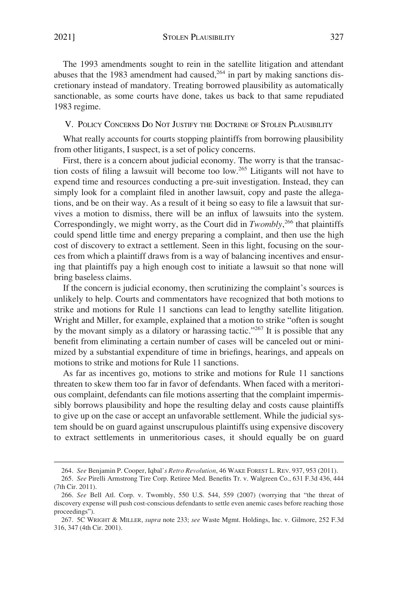<span id="page-36-0"></span>The 1993 amendments sought to rein in the satellite litigation and attendant abuses that the 1983 amendment had caused, $264$  in part by making sanctions discretionary instead of mandatory. Treating borrowed plausibility as automatically sanctionable, as some courts have done, takes us back to that same repudiated 1983 regime.

# V. POLICY CONCERNS DO NOT JUSTIFY THE DOCTRINE OF STOLEN PLAUSIBILITY

What really accounts for courts stopping plaintiffs from borrowing plausibility from other litigants, I suspect, is a set of policy concerns.

First, there is a concern about judicial economy. The worry is that the transaction costs of filing a lawsuit will become too low.265 Litigants will not have to expend time and resources conducting a pre-suit investigation. Instead, they can simply look for a complaint filed in another lawsuit, copy and paste the allegations, and be on their way. As a result of it being so easy to file a lawsuit that survives a motion to dismiss, there will be an influx of lawsuits into the system. Correspondingly, we might worry, as the Court did in *Twombly*, 266 that plaintiffs could spend little time and energy preparing a complaint, and then use the high cost of discovery to extract a settlement. Seen in this light, focusing on the sources from which a plaintiff draws from is a way of balancing incentives and ensuring that plaintiffs pay a high enough cost to initiate a lawsuit so that none will bring baseless claims.

If the concern is judicial economy, then scrutinizing the complaint's sources is unlikely to help. Courts and commentators have recognized that both motions to strike and motions for Rule 11 sanctions can lead to lengthy satellite litigation. Wright and Miller, for example, explained that a motion to strike "often is sought by the movant simply as a dilatory or harassing tactic."<sup>267</sup> It is possible that any benefit from eliminating a certain number of cases will be canceled out or minimized by a substantial expenditure of time in briefings, hearings, and appeals on motions to strike and motions for Rule 11 sanctions.

As far as incentives go, motions to strike and motions for Rule 11 sanctions threaten to skew them too far in favor of defendants. When faced with a meritorious complaint, defendants can file motions asserting that the complaint impermissibly borrows plausibility and hope the resulting delay and costs cause plaintiffs to give up on the case or accept an unfavorable settlement. While the judicial system should be on guard against unscrupulous plaintiffs using expensive discovery to extract settlements in unmeritorious cases, it should equally be on guard

<sup>264.</sup> *See* Benjamin P. Cooper, Iqbal*'s Retro Revolution*, 46 WAKE FOREST L. REV. 937, 953 (2011).

<sup>265.</sup> *See* Pirelli Armstrong Tire Corp. Retiree Med. Benefits Tr. v. Walgreen Co., 631 F.3d 436, 444 (7th Cir. 2011).

<sup>266.</sup> *See* Bell Atl. Corp. v. Twombly, 550 U.S. 544, 559 (2007) (worrying that "the threat of discovery expense will push cost-conscious defendants to settle even anemic cases before reaching those proceedings").

<sup>267. 5</sup>C WRIGHT & MILLER, *supra* note 233; *see* Waste Mgmt. Holdings, Inc. v. Gilmore, 252 F.3d 316, 347 (4th Cir. 2001).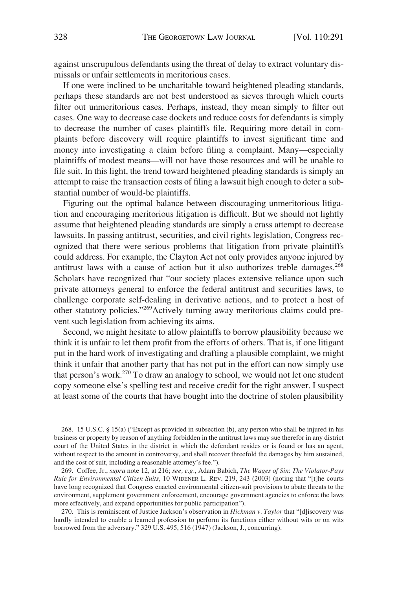against unscrupulous defendants using the threat of delay to extract voluntary dismissals or unfair settlements in meritorious cases.

If one were inclined to be uncharitable toward heightened pleading standards, perhaps these standards are not best understood as sieves through which courts filter out unmeritorious cases. Perhaps, instead, they mean simply to filter out cases. One way to decrease case dockets and reduce costs for defendants is simply to decrease the number of cases plaintiffs file. Requiring more detail in complaints before discovery will require plaintiffs to invest significant time and money into investigating a claim before filing a complaint. Many—especially plaintiffs of modest means—will not have those resources and will be unable to file suit. In this light, the trend toward heightened pleading standards is simply an attempt to raise the transaction costs of filing a lawsuit high enough to deter a substantial number of would-be plaintiffs.

Figuring out the optimal balance between discouraging unmeritorious litigation and encouraging meritorious litigation is difficult. But we should not lightly assume that heightened pleading standards are simply a crass attempt to decrease lawsuits. In passing antitrust, securities, and civil rights legislation, Congress recognized that there were serious problems that litigation from private plaintiffs could address. For example, the Clayton Act not only provides anyone injured by antitrust laws with a cause of action but it also authorizes treble damages.<sup>268</sup> Scholars have recognized that "our society places extensive reliance upon such private attorneys general to enforce the federal antitrust and securities laws, to challenge corporate self-dealing in derivative actions, and to protect a host of other statutory policies."269Actively turning away meritorious claims could prevent such legislation from achieving its aims.

Second, we might hesitate to allow plaintiffs to borrow plausibility because we think it is unfair to let them profit from the efforts of others. That is, if one litigant put in the hard work of investigating and drafting a plausible complaint, we might think it unfair that another party that has not put in the effort can now simply use that person's work.270 To draw an analogy to school, we would not let one student copy someone else's spelling test and receive credit for the right answer. I suspect at least some of the courts that have bought into the doctrine of stolen plausibility

<sup>268. 15</sup> U.S.C. § 15(a) ("Except as provided in subsection (b), any person who shall be injured in his business or property by reason of anything forbidden in the antitrust laws may sue therefor in any district court of the United States in the district in which the defendant resides or is found or has an agent, without respect to the amount in controversy, and shall recover threefold the damages by him sustained, and the cost of suit, including a reasonable attorney's fee.").

<sup>269.</sup> Coffee, Jr., *supra* note 12, at 216; *see, e.g.*, Adam Babich, *The Wages of Sin*: *The Violator-Pays Rule for Environmental Citizen Suits*, 10 WIDENER L. REV. 219, 243 (2003) (noting that "[t]he courts have long recognized that Congress enacted environmental citizen-suit provisions to abate threats to the environment, supplement government enforcement, encourage government agencies to enforce the laws more effectively, and expand opportunities for public participation").

<sup>270.</sup> This is reminiscent of Justice Jackson's observation in *Hickman v. Taylor* that "[d]iscovery was hardly intended to enable a learned profession to perform its functions either without wits or on wits borrowed from the adversary." 329 U.S. 495, 516 (1947) (Jackson, J., concurring).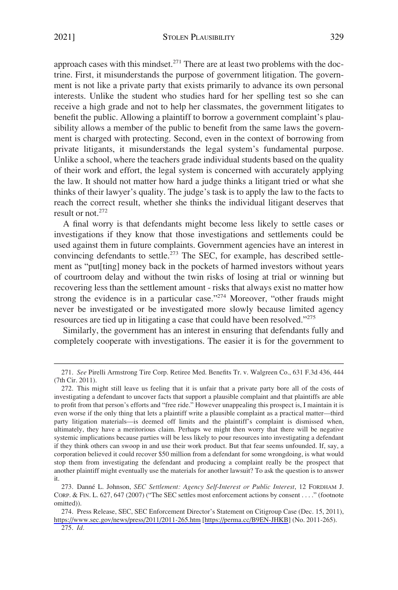approach cases with this mindset.<sup>271</sup> There are at least two problems with the doctrine. First, it misunderstands the purpose of government litigation. The government is not like a private party that exists primarily to advance its own personal interests. Unlike the student who studies hard for her spelling test so she can receive a high grade and not to help her classmates, the government litigates to benefit the public. Allowing a plaintiff to borrow a government complaint's plausibility allows a member of the public to benefit from the same laws the government is charged with protecting. Second, even in the context of borrowing from private litigants, it misunderstands the legal system's fundamental purpose. Unlike a school, where the teachers grade individual students based on the quality of their work and effort, the legal system is concerned with accurately applying the law. It should not matter how hard a judge thinks a litigant tried or what she thinks of their lawyer's quality. The judge's task is to apply the law to the facts to reach the correct result, whether she thinks the individual litigant deserves that result or not.<sup>272</sup>

A final worry is that defendants might become less likely to settle cases or investigations if they know that those investigations and settlements could be used against them in future complaints. Government agencies have an interest in convincing defendants to settle.<sup> $273$ </sup> The SEC, for example, has described settlement as "put[ting] money back in the pockets of harmed investors without years of courtroom delay and without the twin risks of losing at trial or winning but recovering less than the settlement amount - risks that always exist no matter how strong the evidence is in a particular case."<sup>274</sup> Moreover, "other frauds might never be investigated or be investigated more slowly because limited agency resources are tied up in litigating a case that could have been resolved."<sup>275</sup>

Similarly, the government has an interest in ensuring that defendants fully and completely cooperate with investigations. The easier it is for the government to

<sup>271.</sup> *See* Pirelli Armstrong Tire Corp. Retiree Med. Benefits Tr. v. Walgreen Co., 631 F.3d 436, 444 (7th Cir. 2011).

<sup>272.</sup> This might still leave us feeling that it is unfair that a private party bore all of the costs of investigating a defendant to uncover facts that support a plausible complaint and that plaintiffs are able to profit from that person's efforts and "free ride." However unappealing this prospect is, I maintain it is even worse if the only thing that lets a plaintiff write a plausible complaint as a practical matter—third party litigation materials—is deemed off limits and the plaintiff's complaint is dismissed when, ultimately, they have a meritorious claim. Perhaps we might then worry that there will be negative systemic implications because parties will be less likely to pour resources into investigating a defendant if they think others can swoop in and use their work product. But that fear seems unfounded. If, say, a corporation believed it could recover \$50 million from a defendant for some wrongdoing, is what would stop them from investigating the defendant and producing a complaint really be the prospect that another plaintiff might eventually use the materials for another lawsuit? To ask the question is to answer it.

<sup>273.</sup> Danne´ L. Johnson, *SEC Settlement: Agency Self-Interest or Public Interest*, 12 FORDHAM J. CORP. & FIN. L. 627, 647 (2007) ("The SEC settles most enforcement actions by consent . . . ." (footnote omitted)).

<sup>274.</sup> Press Release, SEC, SEC Enforcement Director's Statement on Citigroup Case (Dec. 15, 2011), <https://www.sec.gov/news/press/2011/2011-265.htm> [\[https://perma.cc/B9EN-JHKB](https://perma.cc/B9EN-JHKB)] (No. 2011-265).

<sup>275.</sup> *Id.*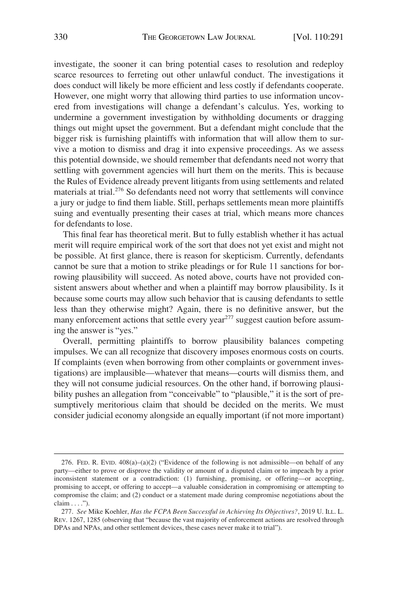investigate, the sooner it can bring potential cases to resolution and redeploy scarce resources to ferreting out other unlawful conduct. The investigations it does conduct will likely be more efficient and less costly if defendants cooperate. However, one might worry that allowing third parties to use information uncovered from investigations will change a defendant's calculus. Yes, working to undermine a government investigation by withholding documents or dragging things out might upset the government. But a defendant might conclude that the bigger risk is furnishing plaintiffs with information that will allow them to survive a motion to dismiss and drag it into expensive proceedings. As we assess this potential downside, we should remember that defendants need not worry that settling with government agencies will hurt them on the merits. This is because the Rules of Evidence already prevent litigants from using settlements and related materials at trial.<sup>276</sup> So defendants need not worry that settlements will convince a jury or judge to find them liable. Still, perhaps settlements mean more plaintiffs suing and eventually presenting their cases at trial, which means more chances for defendants to lose.

This final fear has theoretical merit. But to fully establish whether it has actual merit will require empirical work of the sort that does not yet exist and might not be possible. At first glance, there is reason for skepticism. Currently, defendants cannot be sure that a motion to strike pleadings or for Rule 11 sanctions for borrowing plausibility will succeed. As noted above, courts have not provided consistent answers about whether and when a plaintiff may borrow plausibility. Is it because some courts may allow such behavior that is causing defendants to settle less than they otherwise might? Again, there is no definitive answer, but the many enforcement actions that settle every year $^{277}$  suggest caution before assuming the answer is "yes."

Overall, permitting plaintiffs to borrow plausibility balances competing impulses. We can all recognize that discovery imposes enormous costs on courts. If complaints (even when borrowing from other complaints or government investigations) are implausible—whatever that means—courts will dismiss them, and they will not consume judicial resources. On the other hand, if borrowing plausibility pushes an allegation from "conceivable" to "plausible," it is the sort of presumptively meritorious claim that should be decided on the merits. We must consider judicial economy alongside an equally important (if not more important)

<sup>276.</sup> FED. R. EVID.  $408(a)-(a)(2)$  ("Evidence of the following is not admissible—on behalf of any party—either to prove or disprove the validity or amount of a disputed claim or to impeach by a prior inconsistent statement or a contradiction: (1) furnishing, promising, or offering—or accepting, promising to accept, or offering to accept—a valuable consideration in compromising or attempting to compromise the claim; and (2) conduct or a statement made during compromise negotiations about the claim . . . .").

<sup>277.</sup> *See* Mike Koehler, *Has the FCPA Been Successful in Achieving Its Objectives?*, 2019 U. ILL. L. REV. 1267, 1285 (observing that "because the vast majority of enforcement actions are resolved through DPAs and NPAs, and other settlement devices, these cases never make it to trial").